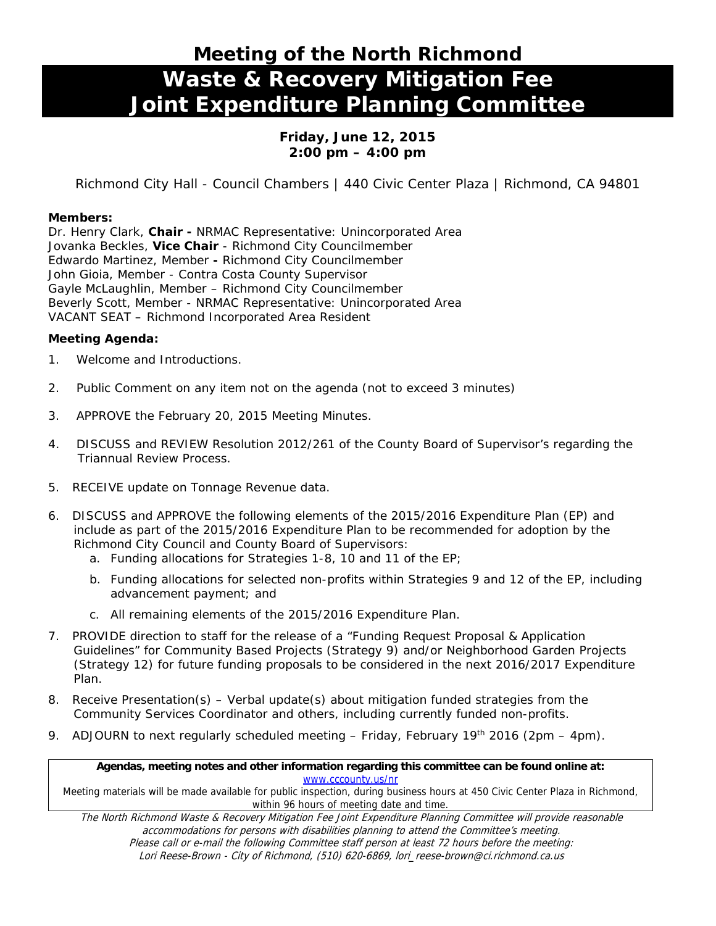# **Meeting of the North Richmond Waste & Recovery Mitigation Fee Joint Expenditure Planning Committee**

## **Friday, June 12, 2015 2:00 pm – 4:00 pm**

Richmond City Hall - Council Chambers | 440 Civic Center Plaza | Richmond, CA 94801

#### **Members:**

Dr. Henry Clark, **Chair -** NRMAC Representative: Unincorporated Area Jovanka Beckles, **Vice Chair** - Richmond City Councilmember Edwardo Martinez, Member **-** Richmond City Councilmember John Gioia, Member - Contra Costa County Supervisor Gayle McLaughlin, Member – Richmond City Councilmember Beverly Scott, Member - NRMAC Representative: Unincorporated Area VACANT SEAT – Richmond Incorporated Area Resident

### **Meeting Agenda:**

- 1. Welcome and Introductions.
- 2. Public Comment on any item not on the agenda *(not to exceed 3 minutes)*
- 3. *APPROVE* the February 20, 2015 Meeting Minutes.
- 4. *DISCUSS and REVIEW Resolution 2012/261 of the County Board of Supervisor's regarding the Triannual Review Process.*
- 5. *RECEIVE update on Tonnage Revenue data*.
- 6. *DISCUSS* and *APPROVE* the following elements of the 2015/2016 Expenditure Plan (EP) and include as part of the 2015/2016 Expenditure Plan to be recommended for adoption by the Richmond City Council and County Board of Supervisors:
	- a. Funding allocations for Strategies 1-8, 10 and 11 of the EP;
	- b. Funding allocations for selected non-profits within Strategies 9 and 12 of the EP, including advancement payment; and
	- c. All remaining elements of the 2015/2016 Expenditure Plan.
- 7. *PROVIDE* direction to staff for the release of a "Funding Request Proposal & Application Guidelines" for Community Based Projects (Strategy 9) and/or Neighborhood Garden Projects (Strategy 12) for future funding proposals to be considered in the next 2016/2017 Expenditure Plan.
- 8. *Receive Presentation(s)*  Verbal update(s) about mitigation funded strategies from the Community Services Coordinator and others, including currently funded non-profits.
- 9. *ADJOURN* to next regularly scheduled meeting Friday, February 19<sup>th</sup> 2016 (2pm 4pm).

#### **Agendas, meeting notes and other information regarding this committee can be found online at:**  www.cccounty.us/nr

Meeting materials will be made available for public inspection, during business hours at 450 Civic Center Plaza in Richmond, within 96 hours of meeting date and time.

The North Richmond Waste & Recovery Mitigation Fee Joint Expenditure Planning Committee will provide reasonable accommodations for persons with disabilities planning to attend the Committee's meeting. Please call or e-mail the following Committee staff person at least 72 hours before the meeting: Lori Reese-Brown - City of Richmond, (510) 620-6869, lori\_reese-brown@ci.richmond.ca.us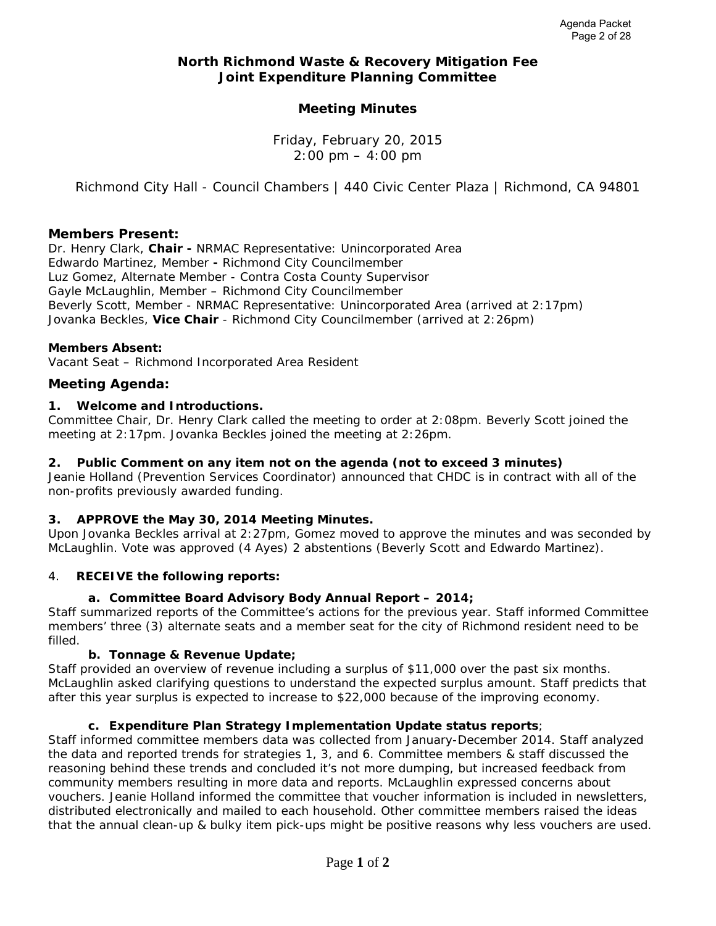#### **North Richmond Waste & Recovery Mitigation Fee Joint Expenditure Planning Committee**

## **Meeting Minutes**

Friday, February 20, 2015  $2:00 \text{ pm} - 4:00 \text{ pm}$ 

*Richmond City Hall - Council Chambers | 440 Civic Center Plaza | Richmond, CA 94801*

#### **Members Present:**

Dr. Henry Clark, **Chair -** NRMAC Representative: Unincorporated Area Edwardo Martinez, Member **-** Richmond City Councilmember Luz Gomez, Alternate Member - Contra Costa County Supervisor Gayle McLaughlin, Member – Richmond City Councilmember Beverly Scott, Member - NRMAC Representative: Unincorporated Area *(arrived at 2:17pm)* Jovanka Beckles, **Vice Chair** - Richmond City Councilmember *(arrived at 2:26pm)* 

#### **Members Absent:**

Vacant Seat – Richmond Incorporated Area Resident

#### **Meeting Agenda:**

#### **1. Welcome and Introductions.**

Committee Chair, Dr. Henry Clark called the meeting to order at 2:08pm. Beverly Scott joined the meeting at 2:17pm. Jovanka Beckles joined the meeting at 2:26pm.

#### **2. Public Comment on any item not on the agenda** *(not to exceed 3 minutes)*

Jeanie Holland (Prevention Services Coordinator) announced that CHDC is in contract with all of the non-profits previously awarded funding.

#### **3.** *APPROVE* **the May 30, 2014 Meeting Minutes.**

Upon Jovanka Beckles arrival at 2:27pm, Gomez moved to approve the minutes and was seconded by McLaughlin. Vote was approved (4 Ayes) 2 abstentions (Beverly Scott and Edwardo Martinez).

#### 4. *RECEIVE* **the following reports:**

#### **a. Committee Board Advisory Body Annual Report – 2014;**

Staff summarized reports of the Committee's actions for the previous year. Staff informed Committee members' three (3) alternate seats and a member seat for the city of Richmond resident need to be filled.

#### **b. Tonnage & Revenue Update;**

Staff provided an overview of revenue including a surplus of \$11,000 over the past six months. McLaughlin asked clarifying questions to understand the expected surplus amount. Staff predicts that after this year surplus is expected to increase to \$22,000 because of the improving economy.

#### **c. Expenditure Plan Strategy Implementation Update status reports**;

Staff informed committee members data was collected from January-December 2014. Staff analyzed the data and reported trends for strategies 1, 3, and 6. Committee members & staff discussed the reasoning behind these trends and concluded it's not more dumping, but increased feedback from community members resulting in more data and reports. McLaughlin expressed concerns about vouchers. Jeanie Holland informed the committee that voucher information is included in newsletters, distributed electronically and mailed to each household. Other committee members raised the ideas that the annual clean-up & bulky item pick-ups might be positive reasons why less vouchers are used.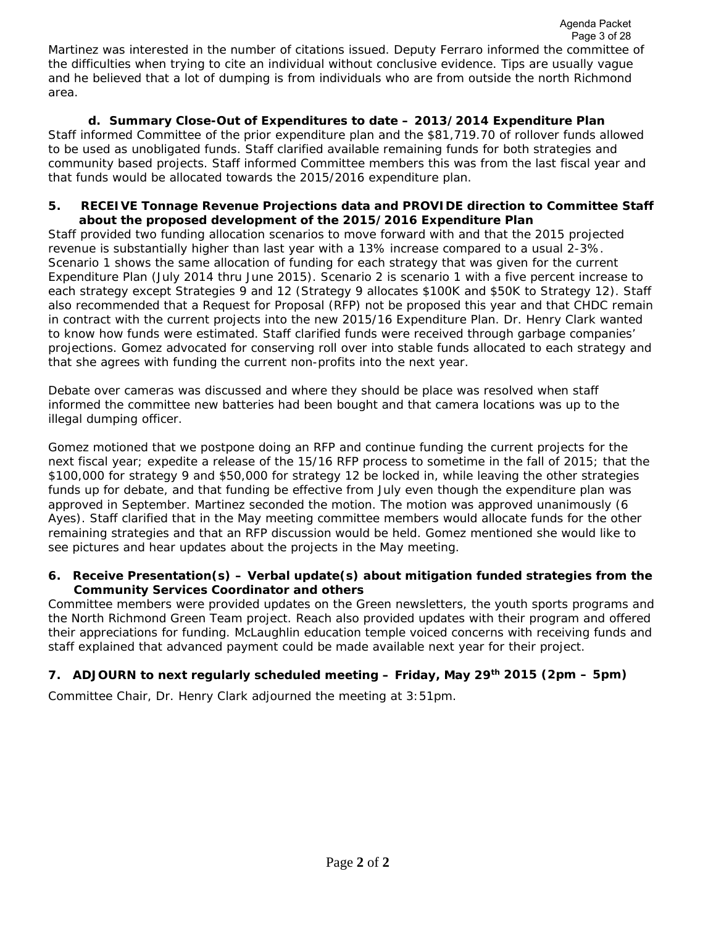## **d. Summary Close-Out of Expenditures to date – 2013/2014 Expenditure Plan**

Staff informed Committee of the prior expenditure plan and the \$81,719.70 of rollover funds allowed to be used as unobligated funds. Staff clarified available remaining funds for both strategies and community based projects. Staff informed Committee members this was from the last fiscal year and that funds would be allocated towards the 2015/2016 expenditure plan.

#### **5.** *RECEIVE Tonnage Revenue Projections data and PROVIDE* **direction to Committee Staff about the proposed development of the 2015/2016 Expenditure Plan**

Staff provided two funding allocation scenarios to move forward with and that the 2015 projected revenue is substantially higher than last year with a 13% increase compared to a usual 2-3%. Scenario 1 shows the same allocation of funding for each strategy that was given for the current Expenditure Plan (July 2014 thru June 2015). Scenario 2 is scenario 1 with a five percent increase to each strategy except Strategies 9 and 12 (Strategy 9 allocates \$100K and \$50K to Strategy 12). Staff also recommended that a Request for Proposal (RFP) not be proposed this year and that CHDC remain in contract with the current projects into the new 2015/16 Expenditure Plan. Dr. Henry Clark wanted to know how funds were estimated. Staff clarified funds were received through garbage companies' projections. Gomez advocated for conserving roll over into stable funds allocated to each strategy and that she agrees with funding the current non-profits into the next year.

Debate over cameras was discussed and where they should be place was resolved when staff informed the committee new batteries had been bought and that camera locations was up to the illegal dumping officer.

*Gomez motioned* that we postpone doing an RFP and continue funding the current projects for the next fiscal year; expedite a release of the 15/16 RFP process to sometime in the fall of 2015; that the \$100,000 for strategy 9 and \$50,000 for strategy 12 be locked in, while leaving the other strategies funds up for debate, and that funding be effective from July even though the expenditure plan was approved in September. Martinez seconded the motion. The motion was approved unanimously (6 Ayes). Staff clarified that in the May meeting committee members would allocate funds for the other remaining strategies and that an RFP discussion would be held. Gomez mentioned she would like to see pictures and hear updates about the projects in the May meeting.

#### **6.** *Receive Presentation(s)* **– Verbal update(s) about mitigation funded strategies from the Community Services Coordinator and others**

Committee members were provided updates on the Green newsletters, the youth sports programs and the North Richmond Green Team project. Reach also provided updates with their program and offered their appreciations for funding. McLaughlin education temple voiced concerns with receiving funds and staff explained that advanced payment could be made available next year for their project.

## **7.** *ADJOURN* **to next regularly scheduled meeting – Friday, May 29th 2015 (2pm – 5pm)**

Committee Chair, Dr. Henry Clark adjourned the meeting at 3:51pm.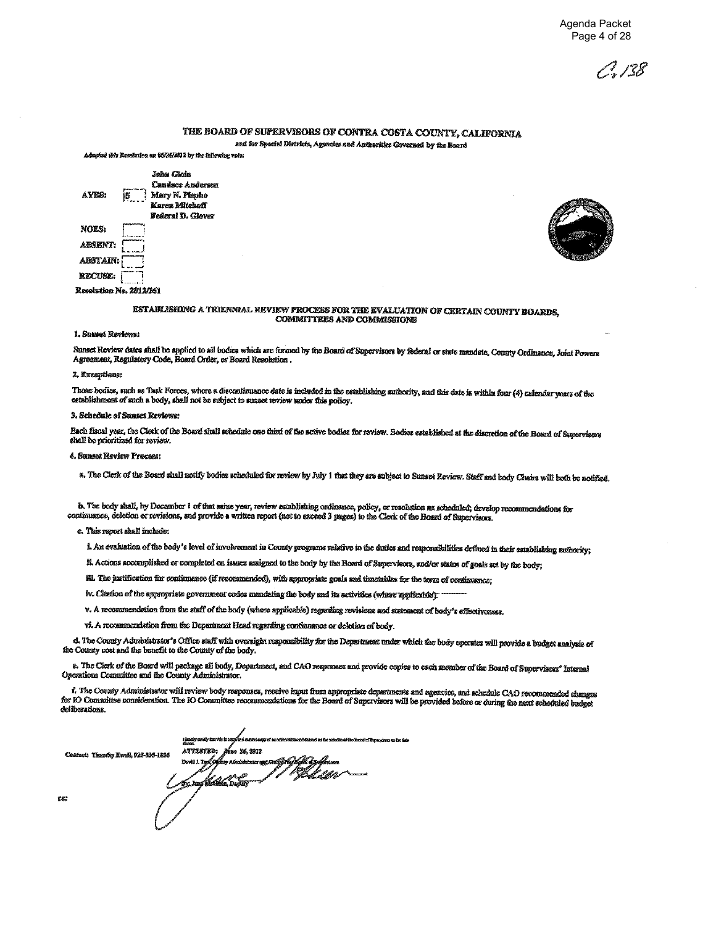198

#### THE BOARD OF SUPERVISORS OF CONTRA COSTA COUNTY, CALIFORNIA and for Special Districts, Agencies and Authorities Governed by the Board

Adopted this Resolution on 86/26/2012 by the following vote:





#### ESTABLISHING A TRIENNIAL REVIEW PROCESS FOR THE EVALUATION OF CERTAIN COUNTY BOARDS, **COMMITTEES AND COMMISSIONS**

#### 1. Sunset Reviews:

Sunset Review dates shall be applied to all bodies which are formed by the Board of Supervisors by federal or state mandate, County Ordinance, Joint Powers Agreement, Regulatory Code, Board Order, or Board Resolution.

#### 2. Exceptions:

Those bodies, such as Task Forces, where a discontinuance date is included in the establishing authority, and this date is within four (4) calendar years of the establishment of such a body, shall not be subject to sumset review under this policy.

#### 3. Schedule of Sunset Reviews:

Each fiscal year, the Clerk of the Board shall schedule one third of the active bodies for review. Bodies established at the discretion of the Board of Supervisors shall be prioritized for review.

#### 4. Sunset Review Process:

a. The Clerk of the Board shall notify bodies scheduled for review by July 1 that they are subject to Sunset Review. Staff and body Chairs will both be notified.

b. The body shall, by Docember 1 of that same year, review establishing ordinance, policy, or resolution as scheduled; develop recommendations for continuance, deletion or revisions, and provide a written report (not to exceed 3 pages) to the Clerk of the Board of Supervisors.

c. This report shall include:

i. An evaluation of the body's level of involvement in County programs relative to the duties and responsibilities defined in their establishing authority;

ff. Actions accomplished or completed on issues assigned to the body by the Board of Supervisors, and/or status of goals set by the body;

iii. The justification for continuance (if recommended), with appropriate goals and timetables for the term of continuance;

iv. Citation of the appropriate government codes mandating the body and its activities (where applicable).

v. A recommendation from the staff of the body (where applicable) regarding revisions and statement of body's effectiveness.

vi. A recommendation from the Department Head regarding continuance or deletion of body.

d. The County Administrator's Office staff with oversight responsibility for the Department under which the body operates will provide a budget analysis of the County cost and the benefit to the County of the body.

e. The Clerk of the Board will package all body, Department, and CAO responses and provide copies to each member of the Board of Supervisors' Internal Operations Committee and the County Administrator.

f. The County Administrator will review body responses, receive input from appropriate departments and agencies, and schedule CAO recommended changes for IO Committee consideration. The IO Committee recommendations for the Board of Supervisors will be provided before or during the next scheduled budget deliberations

Centert: Tiensthy Ruell, 925-335-1836

**CC** 

**ATTESTED** . 25.2812 a tije Geoffe synkernen.<br>It Hall Littler Devil 1 Toll k 4. r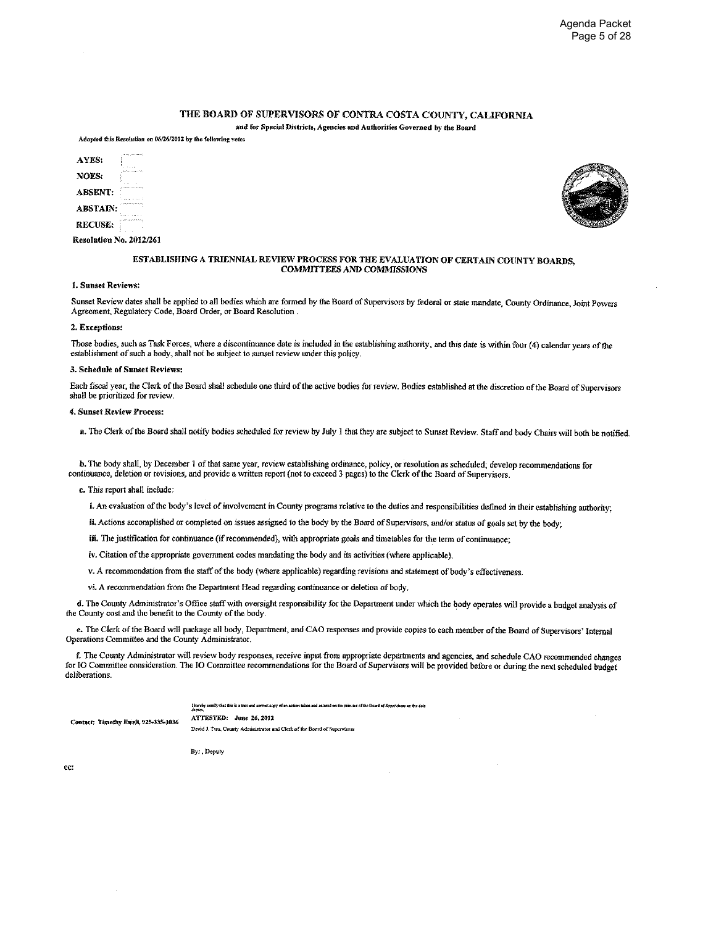#### THE BOARD OF SUPERVISORS OF CONTRA COSTA COUNTY, CALIFORNIA

and for Special Districts, Agencies and Authorities Governed by the Board Adopted this Resolution on 06/26/2012 by the following vote:

| AVES:           |  |
|-----------------|--|
| NOES:           |  |
| <b>ARSENT:</b>  |  |
| <b>ARSTAIN:</b> |  |
| <b>RECUSE:</b>  |  |

Resolution No. 2012/261



#### ESTABLISHING A TRIENNIAL REVIEW PROCESS FOR THE EVALUATION OF CERTAIN COUNTY BOARDS. **COMMITTEES AND COMMISSIONS**

#### 1. Sunset Reviews:

Sunset Review dates shall be applied to all bodies which are formed by the Board of Supervisors by federal or state mandate, County Ordinance, Joint Powers Agreement, Regulatory Code, Board Order, or Board Resolution.

#### 2. Exceptions:

Those bodies, such as Task Forces, where a discontinuance date is included in the establishing authority, and this date is within four (4) calendar years of the establishment of such a body, shall not be subject to sunset review under this policy.

#### 3. Schedule of Sunset Reviews:

Each fiscal year, the Clerk of the Board shall schedule one third of the active bodies for review. Bodies established at the discretion of the Board of Supervisors shall be prioritized for review.

#### 4. Sunset Review Process:

a. The Clerk of the Board shall notify bodies scheduled for review by July 1 that they are subject to Sunset Review. Staff and body Chairs will both be notified.

b. The body shall, by December 1 of that same year, review establishing ordinance, policy, or resolution as scheduled; develop recommendations for continuance, deletion or revisions, and provide a written report (not to exceed 3 pages) to the Clerk of the Board of Supervisors.

#### c. This report shall include:

i. An evaluation of the body's level of involvement in County programs relative to the duties and responsibilities defined in their establishing authority:

ii. Actions accomplished or completed on issues assigned to the body by the Board of Supervisors, and/or status of goals set by the body;

iii. The justification for continuance (if recommended), with appropriate goals and timetables for the term of continuance;

iv. Citation of the appropriate government codes mandating the body and its activities (where applicable).

v. A recommendation from the staff of the body (where applicable) regarding revisions and statement of body's effectiveness.

vi. A recommendation from the Department Head regarding continuance or deletion of body.

d. The County Administrator's Office staff with oversight responsibility for the Department under which the body operates will provide a budget analysis of the County cost and the benefit to the County of the body.

e. The Clerk of the Board will package all body, Department, and CAO responses and provide copies to each member of the Board of Supervisors' Internal Operations Committee and the County Administrator.

f. The County Administrator will review body responses, receive input from appropriate departments and agencies, and schedule CAO recommended changes for IO Committee consideration. The IO Committee recommendations for the Board of Supervisors will be provided before or during the next scheduled budget deliberations.

I hereby certify that this is a tree and correct copy of an action taken and centered on the painties of the Board of Sepervisors on the date

ATTESTED: June 26, 2012 Contact: Timothy Ewell, 925-335-1036

David J. Twa, County Administrator and Clerk of the Board of Supervisors

By: Deputy

ce: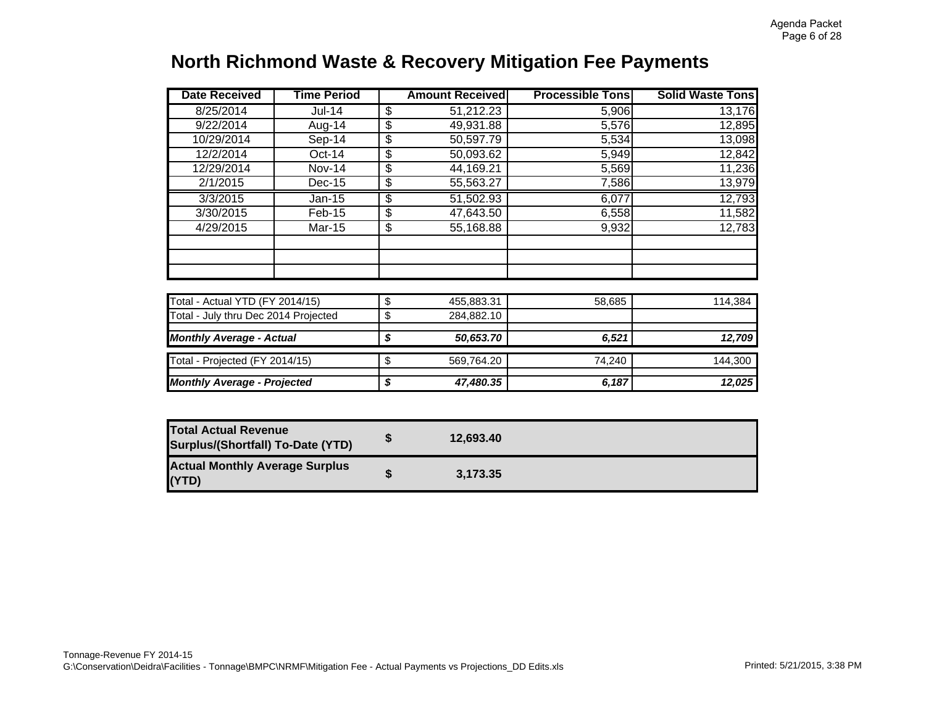# **North Richmond Waste & Recovery Mitigation Fee Payment s**

| <b>Date Received</b>                 | <b>Time Period</b> |                 | <b>Amount Received</b> | <b>Processible Tons</b> | <b>Solid Waste Tons</b> |
|--------------------------------------|--------------------|-----------------|------------------------|-------------------------|-------------------------|
| 8/25/2014                            | Jul-14             | \$              | 51,212.23              | 5,906                   | 13,176                  |
| 9/22/2014                            | Aug-14             | \$              | 49,931.88              | 5,576                   | 12,895                  |
| 10/29/2014                           | Sep-14             | \$              | 50,597.79              | 5,534                   | 13,098                  |
| 12/2/2014                            | $Oct-14$           | \$              | 50,093.62              | 5,949                   | 12,842                  |
| 12/29/2014                           | <b>Nov-14</b>      | \$              | 44,169.21              | 5,569                   | 11,236                  |
| 2/1/2015                             | $Dec-15$           | \$              | 55,563.27              | 7,586                   | 13,979                  |
| 3/3/2015                             | $Jan-15$           | $\overline{\$}$ | 51,502.93              | 6,077                   | 12,793                  |
| 3/30/2015                            | Feb-15             | \$              | 47,643.50              | 6,558                   | 11,582                  |
| 4/29/2015                            | Mar-15             | \$              | 55,168.88              | 9,932                   | 12,783                  |
|                                      |                    |                 |                        |                         |                         |
|                                      |                    |                 |                        |                         |                         |
| Total - Actual YTD (FY 2014/15)      |                    | \$              | 455,883.31             | 58,685                  | 114,384                 |
| Total - July thru Dec 2014 Projected |                    | \$              | 284,882.10             |                         |                         |
| <b>Monthly Average - Actual</b>      |                    | \$              | 50,653.70              | 6,521                   | 12,709                  |
| Total - Projected (FY 2014/15)       |                    | \$              | 569,764.20             | 74,240                  | 144,300                 |
| <b>Monthly Average - Projected</b>   |                    | \$              | 47,480.35              | 6,187                   | 12,025                  |

| <b>Total Actual Revenue</b><br><b>Surplus/(Shortfall) To-Date (YTD)</b> | 12.693.40 |  |
|-------------------------------------------------------------------------|-----------|--|
| <b>Actual Monthly Average Surplus</b><br>(YTD)                          | 3.173.35  |  |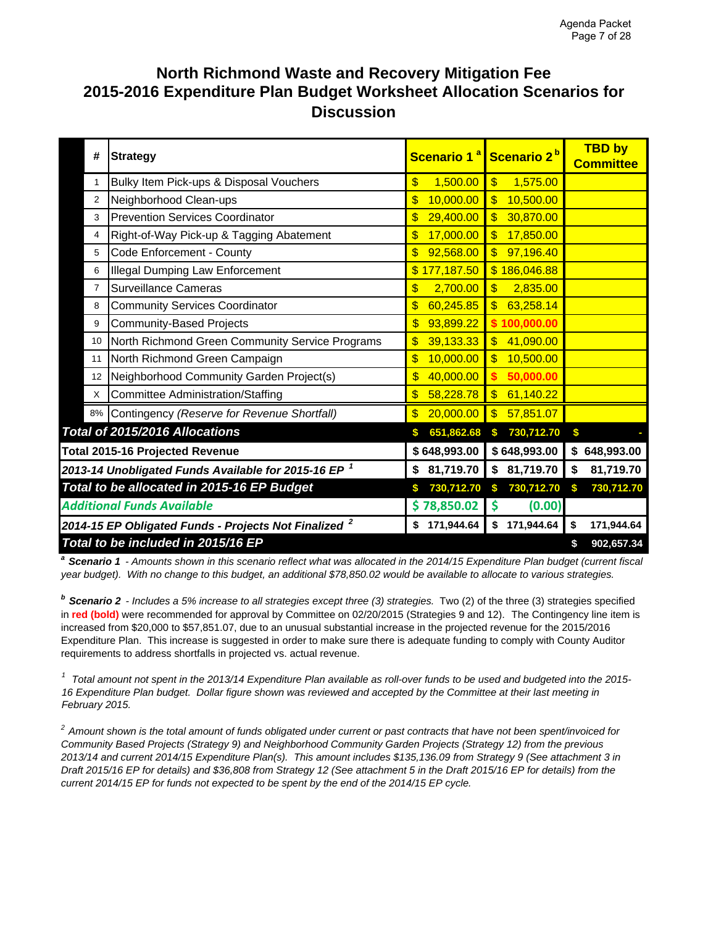# **North Richmond Waste and Recovery Mitigation Fee 2015-2016 Expenditure Plan Budget Worksheet Allocation Scenarios for Discussion**

| #              | <b>Strategy</b>                                                   | Scenario 1 <sup>a</sup>                | Scenario 2 <sup>b</sup>                | <b>TBD by</b><br><b>Committee</b> |
|----------------|-------------------------------------------------------------------|----------------------------------------|----------------------------------------|-----------------------------------|
| 1              | Bulky Item Pick-ups & Disposal Vouchers                           | 1,500.00<br>\$                         | $\overline{\mathbb{S}}$<br>1,575.00    |                                   |
| 2              | Neighborhood Clean-ups                                            | 10,000.00<br>\$                        | 10,500.00<br>$\mathbf{S}$              |                                   |
| 3              | <b>Prevention Services Coordinator</b>                            | 29,400.00<br>\$                        | 30,870.00<br>$\mathbb{S}$              |                                   |
| 4              | Right-of-Way Pick-up & Tagging Abatement                          | 17,000.00<br>\$                        | 17,850.00<br>$\boldsymbol{\mathsf{s}}$ |                                   |
| 5              | Code Enforcement - County                                         | 92,568.00<br>\$                        | $\overline{\mathbb{S}}$<br>97,196.40   |                                   |
| 6              | <b>Illegal Dumping Law Enforcement</b>                            | \$177,187.50                           | \$186,046.88                           |                                   |
| $\overline{7}$ | <b>Surveillance Cameras</b>                                       | 2,700.00<br>\$                         | 2,835.00<br>$\mathbf{\$}$              |                                   |
| 8              | <b>Community Services Coordinator</b>                             | \$<br>60,245.85                        | 63,258.14<br>$\mathbf{\$}$             |                                   |
| 9              | <b>Community-Based Projects</b>                                   | 93,899.22<br>$\boldsymbol{\$}$         | 100,000.00                             |                                   |
| 10             | North Richmond Green Community Service Programs                   | 39,133.33<br>\$                        | 41,090.00<br>$\mathbf{\$}$             |                                   |
| 11             | North Richmond Green Campaign                                     | 10,000.00<br>\$                        | 10,500.00<br>$\overline{\mathbb{S}}$   |                                   |
| 12             | Neighborhood Community Garden Project(s)                          | \$<br>40,000.00                        | 50,000.00                              |                                   |
| X              | <b>Committee Administration/Staffing</b>                          | $\overline{\mathbb{S}}$<br>58,228.78   | 61,140.22<br>$\mathbf{\$}$             |                                   |
| 8%             | Contingency (Reserve for Revenue Shortfall)                       | 20,000.00<br>$\boldsymbol{\mathsf{s}}$ | $\overline{\mathbb{S}}$<br>57,851.07   |                                   |
|                | Total of 2015/2016 Allocations                                    | 651,862.68<br>\$                       | 730,712.70<br>\$                       | S                                 |
|                | <b>Total 2015-16 Projected Revenue</b>                            | \$648,993.00                           | \$648,993.00                           | 648,993.00<br>\$                  |
|                | 2013-14 Unobligated Funds Available for 2015-16 EP $^{\,1}$       | 81,719.70<br>\$                        | \$81,719.70                            | 81,719.70<br>\$                   |
|                | Total to be allocated in 2015-16 EP Budget                        | 730,712.70                             | 730,712.70<br>\$                       | 730,712.70<br>\$                  |
|                | <b>Additional Funds Available</b>                                 | \$78,850.02                            | \$<br>(0.00)                           |                                   |
|                | 2014-15 EP Obligated Funds - Projects Not Finalized $^{\text{2}}$ | 171,944.64<br>\$                       | 171,944.64<br>\$                       | 171,944.64<br>\$                  |
|                | Total to be included in 2015/16 EP                                |                                        |                                        | 902,657.34<br>\$                  |

*a Scenario 1 - Amounts shown in this scenario reflect what was allocated in the 2014/15 Expenditure Plan budget (current fiscal year budget). With no change to this budget, an additional \$78,850.02 would be available to allocate to various strategies.* 

*b Scenario 2 - Includes a 5% increase to all strategies except three (3) strategies.* Two (2) of the three (3) strategies specified in **red (bold)** were recommended for approval by Committee on 02/20/2015 (Strategies 9 and 12).The Contingency line item is increased from \$20,000 to \$57,851.07, due to an unusual substantial increase in the projected revenue for the 2015/2016 Expenditure Plan. This increase is suggested in order to make sure there is adequate funding to comply with County Auditor requirements to address shortfalls in projected vs. actual revenue.

*<sup>1</sup> Total amount not spent in the 2013/14 Expenditure Plan available as roll-over funds to be used and budgeted into the 2015- 16 Expenditure Plan budget. Dollar figure shown was reviewed and accepted by the Committee at their last meeting in February 2015.* 

*2 Amount shown is the total amount of funds obligated under current or past contracts that have not been spent/invoiced for Community Based Projects (Strategy 9) and Neighborhood Community Garden Projects (Strategy 12) from the previous 2013/14 and current 2014/15 Expenditure Plan(s). This amount includes \$135,136.09 from Strategy 9 (See attachment 3 in Draft 2015/16 EP for details) and \$36,808 from Strategy 12 (See attachment 5 in the Draft 2015/16 EP for details) from the current 2014/15 EP for funds not expected to be spent by the end of the 2014/15 EP cycle.*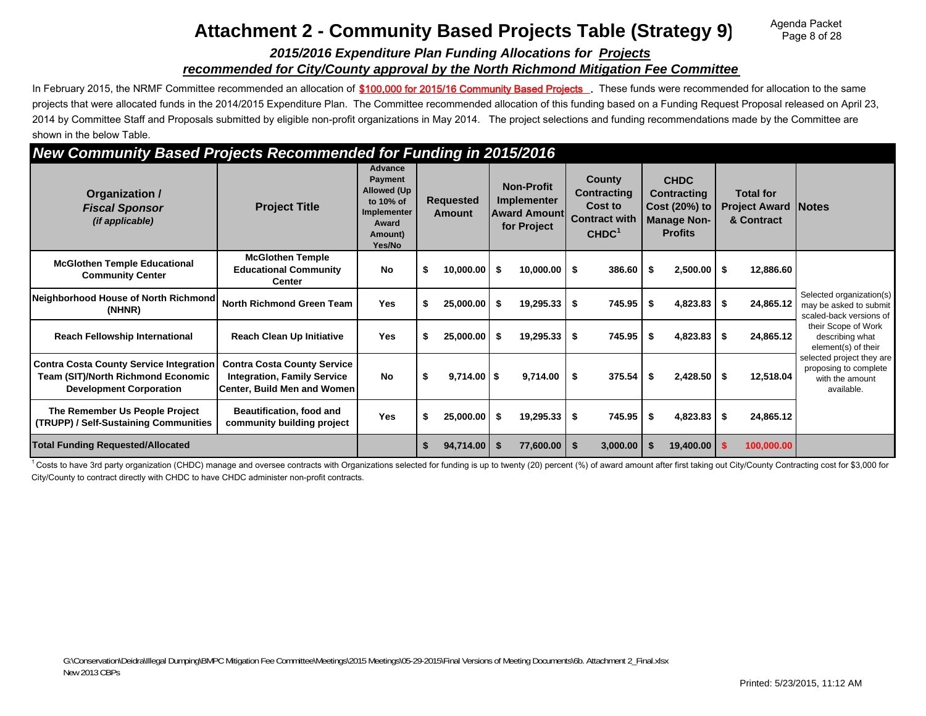# **Attachment 2 - Community Based Projects Table (Strategy 9)**

Agenda Packet Page 8 of 28

#### *2015/2016 Expenditure Plan Funding Allocations for Projects recommended for City/County approval by the North Richmond Mitigation Fee Committee*

In February 2015, the NRMF Committee recommended an allocation of \$100,000 for 2015/16 Community Based Projects . These funds were recommended for allocation to the same projects that were allocated funds in the 2014/2015 Expenditure Plan. The Committee recommended allocation of this funding based on a Funding Request Proposal released on April 23, 2014 by Committee Staff and Proposals submitted by eligible non-profit organizations in May 2014. The project selections and funding recommendations made by the Committee are shown in the below Table.

## *New Community Based Projects Recommended for Funding in 2015/2016*

| <b>TOP COMMUNITY BUOOG FTOJOOG ROODMINGHOU TOFF UNUITY IN EUTOREUTO</b>                                                       |                                                                                                         |                                                                                                    |   |                                   |      |                                                                               |      |                                                                                             |      |                                                                                            |      |                                                              |                                                                                     |
|-------------------------------------------------------------------------------------------------------------------------------|---------------------------------------------------------------------------------------------------------|----------------------------------------------------------------------------------------------------|---|-----------------------------------|------|-------------------------------------------------------------------------------|------|---------------------------------------------------------------------------------------------|------|--------------------------------------------------------------------------------------------|------|--------------------------------------------------------------|-------------------------------------------------------------------------------------|
| Organization /<br><b>Fiscal Sponsor</b><br>(if applicable)                                                                    | <b>Project Title</b>                                                                                    | <b>Advance</b><br>Payment<br>Allowed (Up<br>to 10% of<br>Implementer<br>Award<br>Amount)<br>Yes/No |   | <b>Requested</b><br><b>Amount</b> |      | <b>Non-Profit</b><br><b>Implementer</b><br><b>Award Amount</b><br>for Project |      | <b>County</b><br><b>Contracting</b><br>Cost to<br><b>Contract with</b><br>CHDC <sup>1</sup> |      | <b>CHDC</b><br><b>Contracting</b><br>Cost (20%) to<br><b>Manage Non-</b><br><b>Profits</b> |      | <b>Total for</b><br><b>Project Award Notes</b><br>& Contract |                                                                                     |
| <b>McGlothen Temple Educational</b><br><b>Community Center</b>                                                                | <b>McGlothen Temple</b><br><b>Educational Community</b><br><b>Center</b>                                | <b>No</b>                                                                                          | S | 10,000.00                         |      | 10,000.00                                                                     | - \$ | 386.60                                                                                      | - \$ | 2,500.00                                                                                   | \$   | 12,886.60                                                    |                                                                                     |
| Neighborhood House of North Richmond<br>(NHNR)                                                                                | <b>North Richmond Green Team</b>                                                                        | <b>Yes</b>                                                                                         |   | 25,000.00                         | - \$ | 19,295.33                                                                     | -\$  | 745.95                                                                                      | - \$ | 4,823.83                                                                                   | - \$ | 24,865.12                                                    | Selected organization(s)<br>may be asked to submit<br>scaled-back versions of       |
| <b>Reach Fellowship International</b>                                                                                         | <b>Reach Clean Up Initiative</b>                                                                        | Yes                                                                                                |   | $25,000.00$ \$                    |      | 19,295.33                                                                     | -\$  | 745.95                                                                                      | -\$  | 4,823.83                                                                                   | \$   | 24,865.12                                                    | their Scope of Work<br>describing what<br>element(s) of their                       |
| <b>Contra Costa County Service Integration</b><br><b>Team (SIT)/North Richmond Economic</b><br><b>Development Corporation</b> | <b>Contra Costa County Service</b><br><b>Integration, Family Service</b><br>Center, Build Men and Women | <b>No</b>                                                                                          |   | $9,714.00$ \$                     |      | 9,714.00                                                                      | \$   | $375.54$ \$                                                                                 |      | 2,428.50                                                                                   | \$   | 12,518.04                                                    | selected project they are<br>proposing to complete<br>with the amount<br>available. |
| The Remember Us People Project<br>(TRUPP) / Self-Sustaining Communities                                                       | <b>Beautification, food and</b><br>community building project                                           | <b>Yes</b>                                                                                         |   | 25,000.00                         | - \$ | 19,295.33                                                                     | \$   | 745.95                                                                                      | - \$ | 4,823.83                                                                                   | \$   | 24,865.12                                                    |                                                                                     |
| <b>Total Funding Requested/Allocated</b>                                                                                      |                                                                                                         |                                                                                                    |   | 94,714.00                         |      | 77,600.00                                                                     | 5    | 3,000.00                                                                                    |      | 19,400.00                                                                                  |      | 100,000.00                                                   |                                                                                     |

<sup>1</sup> Costs to have 3rd party organization (CHDC) manage and oversee contracts with Organizations selected for funding is up to twenty (20) percent (%) of award amount after first taking out City/County Contracting cost for City/County to contract directly with CHDC to have CHDC administer non-profit contracts.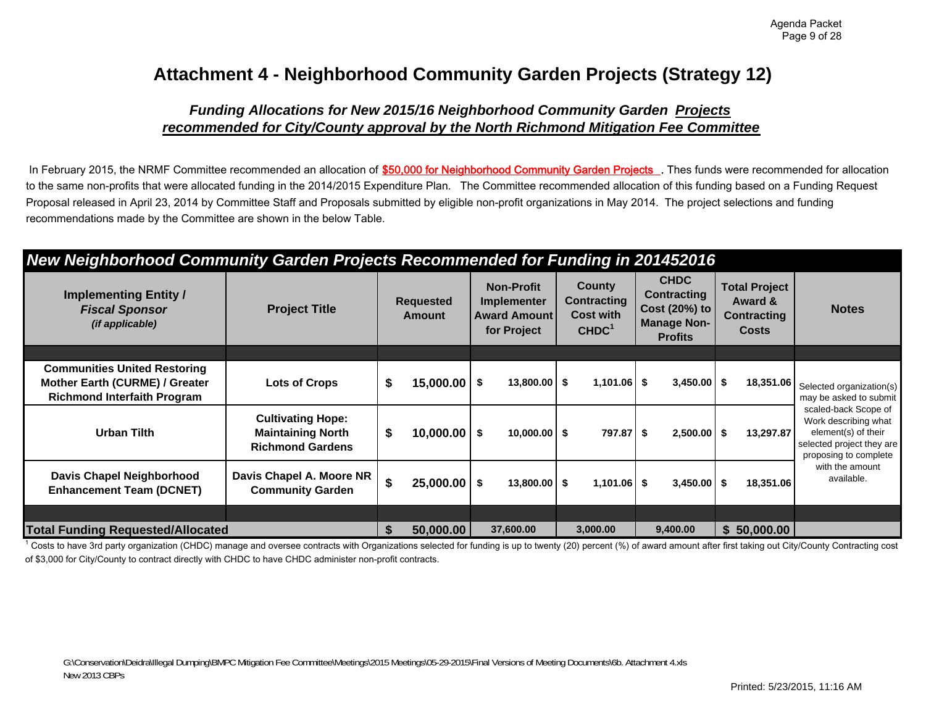# **Attachment 4 - Neighborhood Community Garden Projects (Strategy 12)**

## *Funding Allocations for New 2015/16 Neighborhood Community Garden Projects recommended for City/County approval by the North Richmond Mitigation Fee Committee*

In February 2015, the NRMF Committee recommended an allocation of \$50,000 for Neighborhood Community Garden Projects . Thes funds were recommended for allocation to the same non-profits that were allocated funding in the 2014/2015 Expenditure Plan. The Committee recommended allocation of this funding based on a Funding Request Proposal released in April 23, 2014 by Committee Staff and Proposals submitted by eligible non-profit organizations in May 2014. The project selections and funding recommendations made by the Committee are shown in the below Table.

## *New Neighborhood Community Garden Projects Recommended for Funding in 201452016*

| <b>Implementing Entity /</b><br><b>Fiscal Sponsor</b><br><i>(if applicable)</i>                             | <b>Project Title</b>                                                            | <b>Requested</b><br>Amount |                  | <b>Non-Profit</b><br><b>Implementer</b><br><b>Award Amount</b><br>for Project |                | County<br><b>Contracting</b><br><b>Cost with</b><br>CHDC <sup>1</sup> |               | <b>CHDC</b><br>Contracting<br>Cost (20%) to<br><b>Manage Non-</b><br><b>Profits</b> |               | <b>Total Project</b><br>Award &<br><b>Contracting</b><br><b>Costs</b> |             | <b>Notes</b>                                                                                                              |
|-------------------------------------------------------------------------------------------------------------|---------------------------------------------------------------------------------|----------------------------|------------------|-------------------------------------------------------------------------------|----------------|-----------------------------------------------------------------------|---------------|-------------------------------------------------------------------------------------|---------------|-----------------------------------------------------------------------|-------------|---------------------------------------------------------------------------------------------------------------------------|
|                                                                                                             |                                                                                 |                            |                  |                                                                               |                |                                                                       |               |                                                                                     |               |                                                                       |             |                                                                                                                           |
| <b>Communities United Restoring</b><br>Mother Earth (CURME) / Greater<br><b>Richmond Interfaith Program</b> | <b>Lots of Crops</b>                                                            | \$                         | $15,000.00$ \$   |                                                                               | $13,800.00$ \$ |                                                                       | $1,101.06$ \$ |                                                                                     | $3,450.00$ \$ |                                                                       | 18,351.06   | Selected organization(s)<br>may be asked to submit                                                                        |
| <b>Urban Tilth</b>                                                                                          | <b>Cultivating Hope:</b><br><b>Maintaining North</b><br><b>Richmond Gardens</b> | \$                         | $10,000.00$ \$   |                                                                               | $10,000.00$ \$ |                                                                       | 797.87 \$     |                                                                                     | $2,500.00$ \$ |                                                                       | 13.297.87   | scaled-back Scope of<br>Work describing what<br>element(s) of their<br>selected project they are<br>proposing to complete |
| <b>Davis Chapel Neighborhood</b><br><b>Enhancement Team (DCNET)</b>                                         | Davis Chapel A. Moore NR<br><b>Community Garden</b>                             | \$                         | $25,000.00$   \$ |                                                                               | $13,800.00$ \$ |                                                                       | $1,101.06$ \$ |                                                                                     | $3,450.00$ \$ |                                                                       | 18,351.06   | with the amount<br>available.                                                                                             |
|                                                                                                             |                                                                                 |                            |                  |                                                                               |                |                                                                       |               |                                                                                     |               |                                                                       |             |                                                                                                                           |
| <b>Total Funding Requested/Allocated</b>                                                                    |                                                                                 | S                          | 50,000.00        |                                                                               | 37,600.00      |                                                                       | 3,000.00      |                                                                                     | 9,400.00      |                                                                       | \$50,000.00 |                                                                                                                           |

<sup>1</sup> Costs to have 3rd party organization (CHDC) manage and oversee contracts with Organizations selected for funding is up to twenty (20) percent (%) of award amount after first taking out City/County Contracting cost of \$3,000 for City/County to contract directly with CHDC to have CHDC administer non-profit contracts.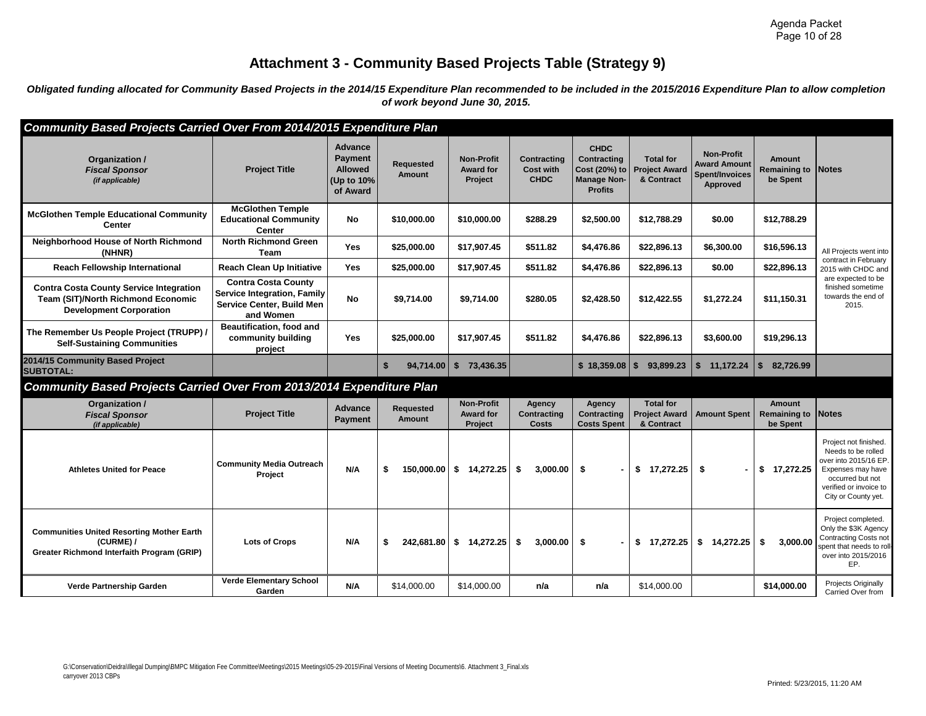## **Attachment 3 - Community Based Projects Table (Strategy 9)**

*Obligated funding allocated for Community Based Projects in the 2014/15 Expenditure Plan recommended to be included in the 2015/2016 Expenditure Plan to allow completion of work beyond June 30, 2015.* 

| Community Based Projects Carried Over From 2014/2015 Expenditure Plan                                                         |                                                                                                            |                                                                       |                            |                                                  |                                                       |                                                                                            |                                                        |                                                                               |                                                        |                                                                                                                                                                |
|-------------------------------------------------------------------------------------------------------------------------------|------------------------------------------------------------------------------------------------------------|-----------------------------------------------------------------------|----------------------------|--------------------------------------------------|-------------------------------------------------------|--------------------------------------------------------------------------------------------|--------------------------------------------------------|-------------------------------------------------------------------------------|--------------------------------------------------------|----------------------------------------------------------------------------------------------------------------------------------------------------------------|
| Organization /<br><b>Fiscal Sponsor</b><br>(if applicable)                                                                    | <b>Project Title</b>                                                                                       | <b>Advance</b><br>Payment<br><b>Allowed</b><br>(Up to 10%<br>of Award | Requested<br>Amount        | <b>Non-Profit</b><br><b>Award for</b><br>Project | <b>Contracting</b><br><b>Cost with</b><br><b>CHDC</b> | <b>CHDC</b><br><b>Contracting</b><br>Cost (20%) to<br><b>Manage Non-</b><br><b>Profits</b> | <b>Total for</b><br><b>Project Award</b><br>& Contract | <b>Non-Profit</b><br><b>Award Amount</b><br><b>Spent/Invoices</b><br>Approved | <b>Amount</b><br><b>Remaining to Notes</b><br>be Spent |                                                                                                                                                                |
| <b>McGlothen Temple Educational Community</b><br>Center                                                                       | <b>McGlothen Temple</b><br><b>Educational Community</b><br><b>Center</b>                                   | No                                                                    | \$10,000,00                | \$10,000,00                                      | \$288.29                                              | \$2,500,00                                                                                 | \$12,788.29                                            | \$0.00                                                                        | \$12,788,29                                            |                                                                                                                                                                |
| <b>Neighborhood House of North Richmond</b><br>(NHNR)                                                                         | <b>North Richmond Green</b><br>Team                                                                        | <b>Yes</b>                                                            | \$25,000.00                | \$17,907.45                                      | \$511.82                                              | \$4,476.86                                                                                 | \$22,896.13                                            | \$6,300.00                                                                    | \$16,596.13                                            | All Projects went into                                                                                                                                         |
| <b>Reach Fellowship International</b>                                                                                         | <b>Reach Clean Up Initiative</b>                                                                           | Yes                                                                   | \$25,000.00                | \$17,907.45                                      | \$511.82                                              | \$4,476.86                                                                                 | \$22,896.13                                            | \$0.00                                                                        | \$22,896.13                                            | contract in February<br>2015 with CHDC and                                                                                                                     |
| <b>Contra Costa County Service Integration</b><br><b>Team (SIT)/North Richmond Economic</b><br><b>Development Corporation</b> | <b>Contra Costa County</b><br><b>Service Integration, Family</b><br>Service Center, Build Men<br>and Women | No                                                                    | \$9,714.00                 | \$9,714.00                                       | \$280.05                                              | \$2,428.50                                                                                 | \$12,422.55                                            | \$1,272.24                                                                    | \$11,150.31                                            | are expected to be<br>finished sometime<br>towards the end of<br>2015.                                                                                         |
| The Remember Us People Project (TRUPP) /<br><b>Self-Sustaining Communities</b>                                                | Beautification, food and<br>community building<br>project                                                  | <b>Yes</b>                                                            | \$25,000,00                | \$17.907.45                                      | \$511.82                                              | \$4,476.86                                                                                 | \$22,896.13                                            | \$3,600.00                                                                    | \$19,296.13                                            |                                                                                                                                                                |
| 2014/15 Community Based Project<br><b>SUBTOTAL:</b>                                                                           |                                                                                                            |                                                                       | \$<br>94,714.00            | \$73,436.35                                      |                                                       |                                                                                            | 93,899.23                                              | \$11,172.24                                                                   | 82,726.99<br>\$                                        |                                                                                                                                                                |
| Community Based Projects Carried Over From 2013/2014 Expenditure Plan                                                         |                                                                                                            |                                                                       |                            |                                                  |                                                       |                                                                                            |                                                        |                                                                               |                                                        |                                                                                                                                                                |
| Organization /<br><b>Fiscal Sponsor</b><br>(if applicable)                                                                    | <b>Project Title</b>                                                                                       | <b>Advance</b><br>Payment                                             | <b>Requested</b><br>Amount | <b>Non-Profit</b><br><b>Award for</b><br>Project | Agency<br><b>Contracting</b><br>Costs                 | Agency<br>Contracting<br><b>Costs Spent</b>                                                | <b>Total for</b><br><b>Project Award</b><br>& Contract | <b>Amount Spent</b>                                                           | <b>Amount</b><br>Remaining to<br>be Spent              | <b>Notes</b>                                                                                                                                                   |
| <b>Athletes United for Peace</b>                                                                                              | <b>Community Media Outreach</b><br>Project                                                                 | N/A                                                                   | \$<br>150,000.00           | \$14,272.25                                      | -\$<br>3.000.00                                       | -\$                                                                                        | \$17,272.25                                            | - \$                                                                          | \$17,272.25                                            | Project not finished.<br>Needs to be rolled<br>over into 2015/16 EP.<br>Expenses may have<br>occurred but not<br>verified or invoice to<br>City or County yet. |
| <b>Communities United Resorting Mother Earth</b><br>(CURME) /<br>Greater Richmond Interfaith Program (GRIP)                   | <b>Lots of Crops</b>                                                                                       | N/A                                                                   | \$<br>242,681.80           | \$14,272.25                                      | \$<br>3,000.00                                        | \$<br>$\blacksquare$                                                                       | \$17,272.25                                            | \$14,272.25                                                                   | \$<br>3,000.00                                         | Project completed.<br>Only the \$3K Agency<br>Contracting Costs not<br>spent that needs to roll-<br>over into 2015/2016<br>EP.                                 |
|                                                                                                                               |                                                                                                            |                                                                       |                            |                                                  |                                                       |                                                                                            |                                                        |                                                                               |                                                        |                                                                                                                                                                |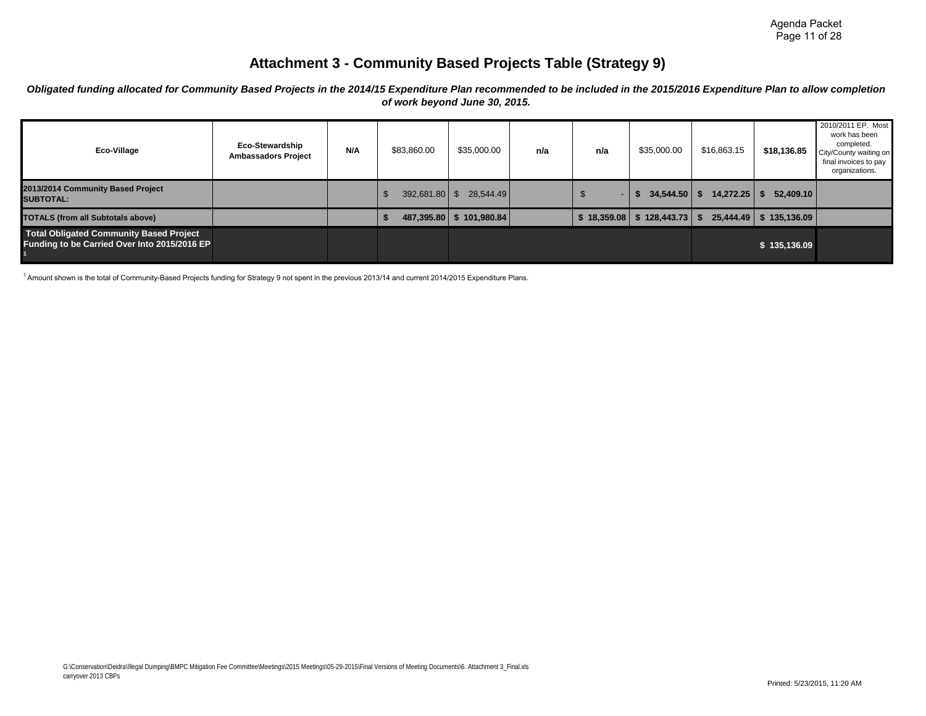## **Attachment 3 - Community Based Projects Table (Strategy 9)**

*Obligated funding allocated for Community Based Projects in the 2014/15 Expenditure Plan recommended to be included in the 2015/2016 Expenditure Plan to allow completion of work beyond June 30, 2015.* 

| Eco-Village                                                                             | <b>Eco-Stewardship</b><br><b>Ambassadors Project</b> | N/A | \$83,860.00 | \$35,000.00                 | n/a | n/a                           | \$35,000.00     | \$16,863.15       | \$18,136.85              | 2010/2011 EP. Most<br>work has been<br>completed.<br>City/County waiting on<br>final invoices to pay<br>organizations. |
|-----------------------------------------------------------------------------------------|------------------------------------------------------|-----|-------------|-----------------------------|-----|-------------------------------|-----------------|-------------------|--------------------------|------------------------------------------------------------------------------------------------------------------------|
| 2013/2014 Community Based Project<br><b>SUBTOTAL:</b>                                   |                                                      |     | 392,681.80  | 28,544.49<br>$\blacksquare$ |     | $\overline{\phantom{0}}$<br>J | 34,544.50<br>S. | 14,272.25<br>- 55 | 52,409.10                |                                                                                                                        |
| <b>TOTALS (from all Subtotals above)</b>                                                |                                                      |     | 487,395.80  | 101,980.84                  |     | \$18,359.08                   | \$128,443.73    |                   | 25,444.49   \$135,136.09 |                                                                                                                        |
| Total Obligated Community Based Project<br>Funding to be Carried Over Into 2015/2016 EP |                                                      |     |             |                             |     |                               |                 |                   | \$135,136.09             |                                                                                                                        |

1 Amount shown is the total of Community-Based Projects funding for Strategy 9 not spent in the previous 2013/14 and current 2014/2015 Expenditure Plans.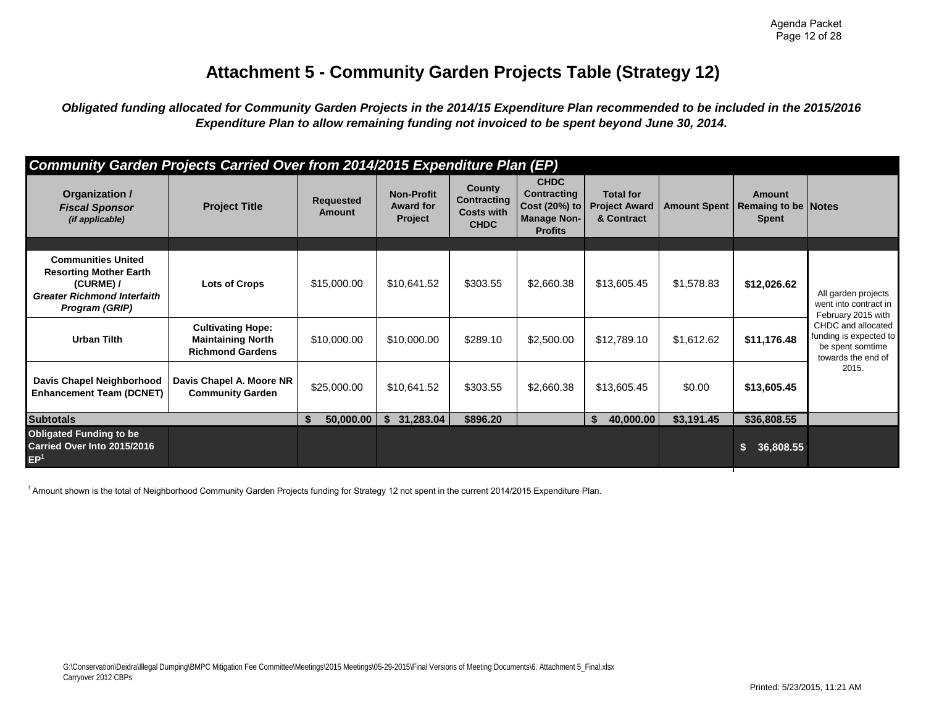# **Attachment 5 - Community Garden Projects Table (Strategy 12)**

*Obligated funding allocated for Community Garden Projects in the 2014/15 Expenditure Plan recommended to be included in the 2015/2016 Expenditure Plan to allow remaining funding not invoiced to be spent beyond June 30, 2014.* 

|                                                                                                                                 | Community Garden Projects Carried Over from 2014/2015 Expenditure Plan (EP)     |                                   |                                                  |                                                                  |                                                                                     |                                                        |                     |                                                             |                                                                                        |
|---------------------------------------------------------------------------------------------------------------------------------|---------------------------------------------------------------------------------|-----------------------------------|--------------------------------------------------|------------------------------------------------------------------|-------------------------------------------------------------------------------------|--------------------------------------------------------|---------------------|-------------------------------------------------------------|----------------------------------------------------------------------------------------|
| Organization /<br><b>Fiscal Sponsor</b><br>(if applicable)                                                                      | <b>Project Title</b>                                                            | <b>Requested</b><br><b>Amount</b> | <b>Non-Profit</b><br><b>Award for</b><br>Project | County<br><b>Contracting</b><br><b>Costs with</b><br><b>CHDC</b> | <b>CHDC</b><br>Contracting<br>Cost (20%) to<br><b>Manage Non-</b><br><b>Profits</b> | <b>Total for</b><br><b>Project Award</b><br>& Contract | <b>Amount Spent</b> | <b>Amount</b><br><b>Remaing to be Notes</b><br><b>Spent</b> |                                                                                        |
|                                                                                                                                 |                                                                                 |                                   |                                                  |                                                                  |                                                                                     |                                                        |                     |                                                             |                                                                                        |
| <b>Communities United</b><br><b>Resorting Mother Earth</b><br>(CURME) /<br><b>Greater Richmond Interfaith</b><br>Program (GRIP) | Lots of Crops                                                                   | \$15,000.00                       | \$10,641.52                                      | \$303.55                                                         | \$2,660.38                                                                          | \$13,605.45                                            | \$1,578.83          | \$12,026.62                                                 | All garden projects<br>went into contract in<br>February 2015 with                     |
| <b>Urban Tilth</b>                                                                                                              | <b>Cultivating Hope:</b><br><b>Maintaining North</b><br><b>Richmond Gardens</b> | \$10,000.00                       | \$10,000.00                                      | \$289.10                                                         | \$2,500.00                                                                          | \$12,789.10                                            | \$1,612.62          | \$11,176.48                                                 | CHDC and allocated<br>funding is expected to<br>be spent somtime<br>towards the end of |
| Davis Chapel Neighborhood<br><b>Enhancement Team (DCNET)</b>                                                                    | Davis Chapel A. Moore NR<br><b>Community Garden</b>                             | \$25,000.00                       | \$10,641.52                                      | \$303.55                                                         | \$2,660.38                                                                          | \$13,605.45                                            | \$0.00              | \$13,605.45                                                 | 2015.                                                                                  |
| <b>Subtotals</b>                                                                                                                |                                                                                 | 50,000.00<br>\$                   | 31,283.04<br>\$                                  | \$896.20                                                         |                                                                                     | 40,000.00<br>\$                                        | \$3,191.45          | \$36,808.55                                                 |                                                                                        |
| <b>Obligated Funding to be</b><br>Carried Over Into 2015/2016<br>EP <sup>1</sup>                                                |                                                                                 |                                   |                                                  |                                                                  |                                                                                     |                                                        |                     | \$<br>36,808.55                                             |                                                                                        |

<sup>1</sup> Amount shown is the total of Neighborhood Community Garden Projects funding for Strategy 12 not spent in the current 2014/2015 Expenditure Plan.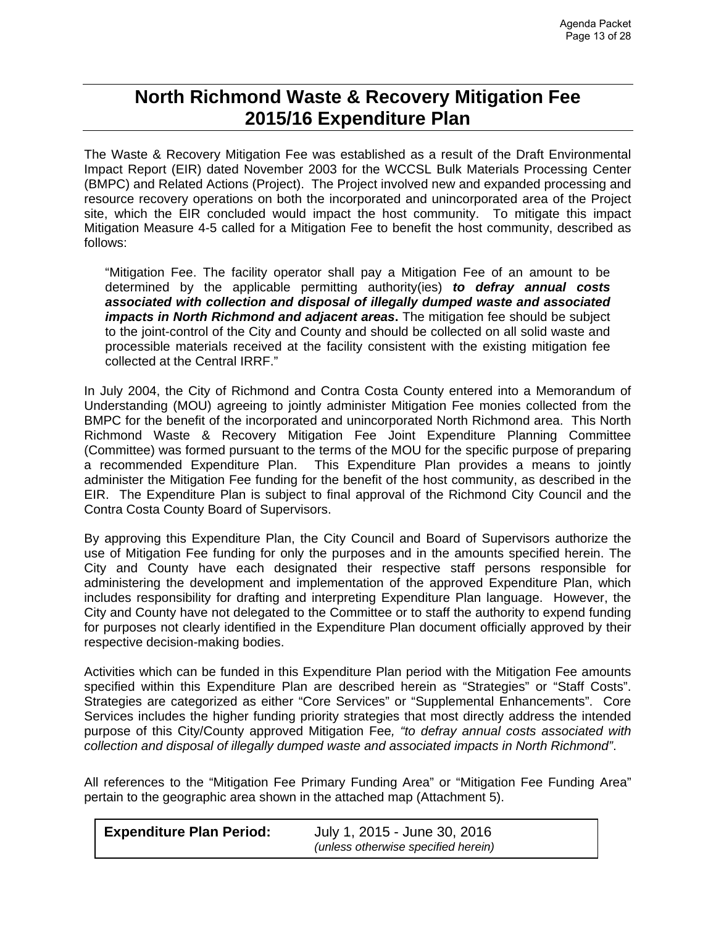# **North Richmond Waste & Recovery Mitigation Fee 2015/16 Expenditure Plan**

The Waste & Recovery Mitigation Fee was established as a result of the Draft Environmental Impact Report (EIR) dated November 2003 for the WCCSL Bulk Materials Processing Center (BMPC) and Related Actions (Project). The Project involved new and expanded processing and resource recovery operations on both the incorporated and unincorporated area of the Project site, which the EIR concluded would impact the host community. To mitigate this impact Mitigation Measure 4-5 called for a Mitigation Fee to benefit the host community, described as follows:

"Mitigation Fee. The facility operator shall pay a Mitigation Fee of an amount to be determined by the applicable permitting authority(ies) *to defray annual costs associated with collection and disposal of illegally dumped waste and associated impacts in North Richmond and adjacent areas***.** The mitigation fee should be subject to the joint-control of the City and County and should be collected on all solid waste and processible materials received at the facility consistent with the existing mitigation fee collected at the Central IRRF."

In July 2004, the City of Richmond and Contra Costa County entered into a Memorandum of Understanding (MOU) agreeing to jointly administer Mitigation Fee monies collected from the BMPC for the benefit of the incorporated and unincorporated North Richmond area. This North Richmond Waste & Recovery Mitigation Fee Joint Expenditure Planning Committee (Committee) was formed pursuant to the terms of the MOU for the specific purpose of preparing a recommended Expenditure Plan. This Expenditure Plan provides a means to jointly administer the Mitigation Fee funding for the benefit of the host community, as described in the EIR. The Expenditure Plan is subject to final approval of the Richmond City Council and the Contra Costa County Board of Supervisors.

By approving this Expenditure Plan, the City Council and Board of Supervisors authorize the use of Mitigation Fee funding for only the purposes and in the amounts specified herein. The City and County have each designated their respective staff persons responsible for administering the development and implementation of the approved Expenditure Plan, which includes responsibility for drafting and interpreting Expenditure Plan language. However, the City and County have not delegated to the Committee or to staff the authority to expend funding for purposes not clearly identified in the Expenditure Plan document officially approved by their respective decision-making bodies.

Activities which can be funded in this Expenditure Plan period with the Mitigation Fee amounts specified within this Expenditure Plan are described herein as "Strategies" or "Staff Costs". Strategies are categorized as either "Core Services" or "Supplemental Enhancements". Core Services includes the higher funding priority strategies that most directly address the intended purpose of this City/County approved Mitigation Fee*, "to defray annual costs associated with collection and disposal of illegally dumped waste and associated impacts in North Richmond"*.

All references to the "Mitigation Fee Primary Funding Area" or "Mitigation Fee Funding Area" pertain to the geographic area shown in the attached map (Attachment 5).

| <b>Expenditure Plan Period:</b> | July 1, 2015 - June 30, 2016        |
|---------------------------------|-------------------------------------|
|                                 | (unless otherwise specified herein) |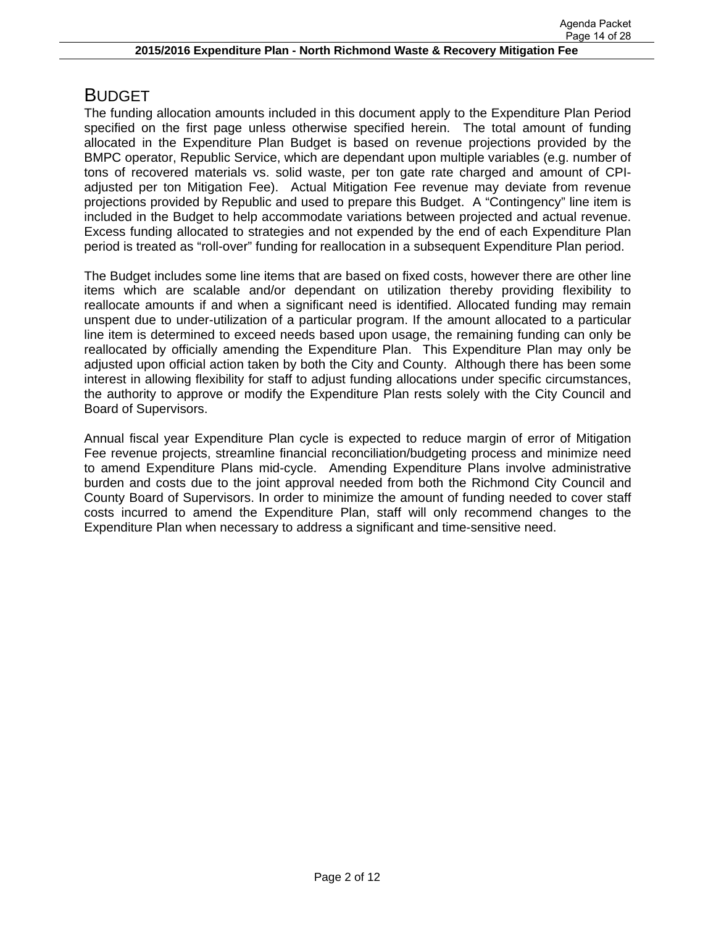# BUDGET

The funding allocation amounts included in this document apply to the Expenditure Plan Period specified on the first page unless otherwise specified herein. The total amount of funding allocated in the Expenditure Plan Budget is based on revenue projections provided by the BMPC operator, Republic Service, which are dependant upon multiple variables (e.g. number of tons of recovered materials vs. solid waste, per ton gate rate charged and amount of CPIadjusted per ton Mitigation Fee). Actual Mitigation Fee revenue may deviate from revenue projections provided by Republic and used to prepare this Budget. A "Contingency" line item is included in the Budget to help accommodate variations between projected and actual revenue. Excess funding allocated to strategies and not expended by the end of each Expenditure Plan period is treated as "roll-over" funding for reallocation in a subsequent Expenditure Plan period.

The Budget includes some line items that are based on fixed costs, however there are other line items which are scalable and/or dependant on utilization thereby providing flexibility to reallocate amounts if and when a significant need is identified. Allocated funding may remain unspent due to under-utilization of a particular program. If the amount allocated to a particular line item is determined to exceed needs based upon usage, the remaining funding can only be reallocated by officially amending the Expenditure Plan. This Expenditure Plan may only be adjusted upon official action taken by both the City and County. Although there has been some interest in allowing flexibility for staff to adjust funding allocations under specific circumstances, the authority to approve or modify the Expenditure Plan rests solely with the City Council and Board of Supervisors.

Annual fiscal year Expenditure Plan cycle is expected to reduce margin of error of Mitigation Fee revenue projects, streamline financial reconciliation/budgeting process and minimize need to amend Expenditure Plans mid-cycle. Amending Expenditure Plans involve administrative burden and costs due to the joint approval needed from both the Richmond City Council and County Board of Supervisors. In order to minimize the amount of funding needed to cover staff costs incurred to amend the Expenditure Plan, staff will only recommend changes to the Expenditure Plan when necessary to address a significant and time-sensitive need.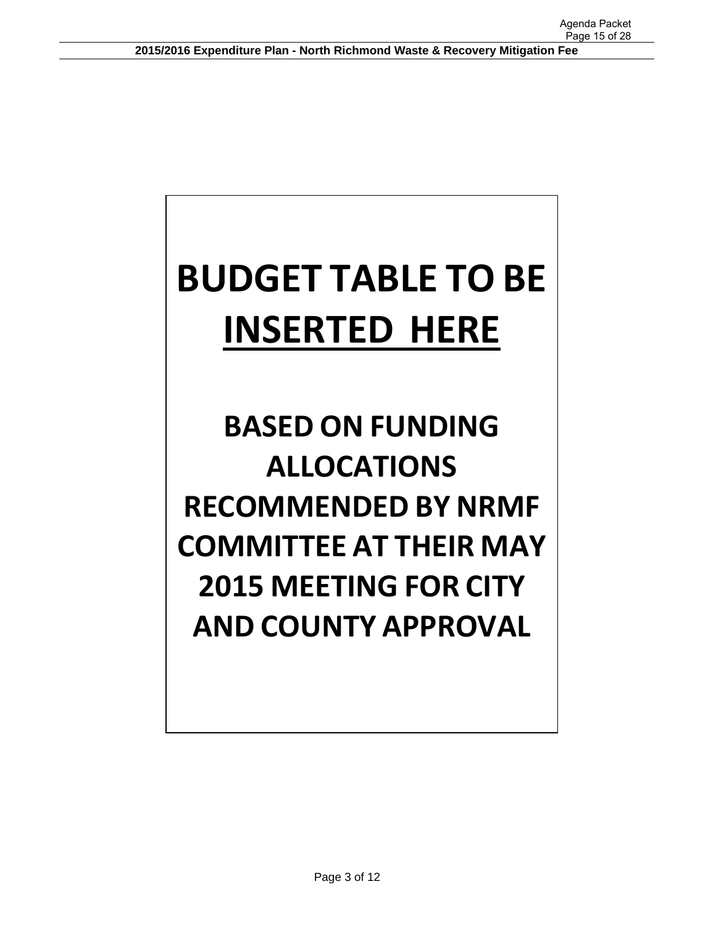# **BUDGET TABLE TO BE INSERTED HERE**

# **BASED ON FUNDING ALLOCATIONS RECOMMENDED BY NRMF COMMITTEE AT THEIR MAY 2015 MEETING FOR CITY AND COUNTY APPROVAL**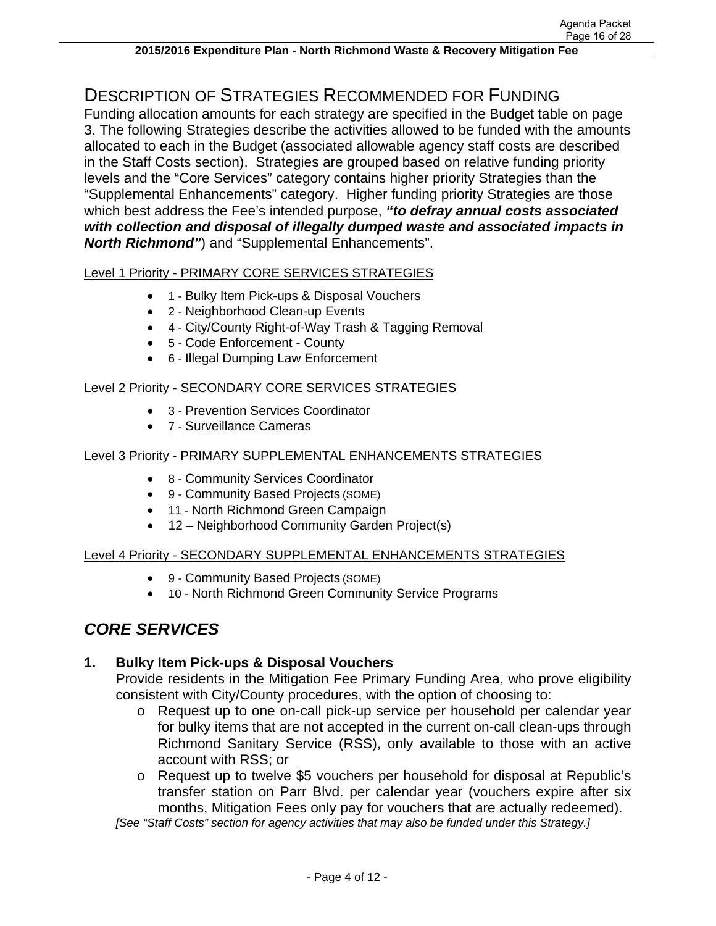# DESCRIPTION OF STRATEGIES RECOMMENDED FOR FUNDING

Funding allocation amounts for each strategy are specified in the Budget table on page 3. The following Strategies describe the activities allowed to be funded with the amounts allocated to each in the Budget (associated allowable agency staff costs are described in the Staff Costs section). Strategies are grouped based on relative funding priority levels and the "Core Services" category contains higher priority Strategies than the "Supplemental Enhancements" category. Higher funding priority Strategies are those which best address the Fee's intended purpose, *"to defray annual costs associated with collection and disposal of illegally dumped waste and associated impacts in North Richmond"*) and "Supplemental Enhancements".

#### Level 1 Priority - PRIMARY CORE SERVICES STRATEGIES

- 1 Bulky Item Pick-ups & Disposal Vouchers
	- 2 Neighborhood Clean-up Events
	- 4 City/County Right-of-Way Trash & Tagging Removal
	- 5 Code Enforcement County
	- 6 Illegal Dumping Law Enforcement

### Level 2 Priority - SECONDARY CORE SERVICES STRATEGIES

- 3 Prevention Services Coordinator
- 7 Surveillance Cameras

#### Level 3 Priority - PRIMARY SUPPLEMENTAL ENHANCEMENTS STRATEGIES

- 8 Community Services Coordinator
- 9 Community Based Projects (SOME)
- 11 North Richmond Green Campaign
- 12 Neighborhood Community Garden Project(s)

### Level 4 Priority - SECONDARY SUPPLEMENTAL ENHANCEMENTS STRATEGIES

- 9 Community Based Projects (SOME)
- 10 North Richmond Green Community Service Programs

# *CORE SERVICES*

### **1. Bulky Item Pick-ups & Disposal Vouchers**

Provide residents in the Mitigation Fee Primary Funding Area, who prove eligibility consistent with City/County procedures, with the option of choosing to:

- o Request up to one on-call pick-up service per household per calendar year for bulky items that are not accepted in the current on-call clean-ups through Richmond Sanitary Service (RSS), only available to those with an active account with RSS; or
- o Request up to twelve \$5 vouchers per household for disposal at Republic's transfer station on Parr Blvd. per calendar year (vouchers expire after six months, Mitigation Fees only pay for vouchers that are actually redeemed).

*[See "Staff Costs" section for agency activities that may also be funded under this Strategy.]*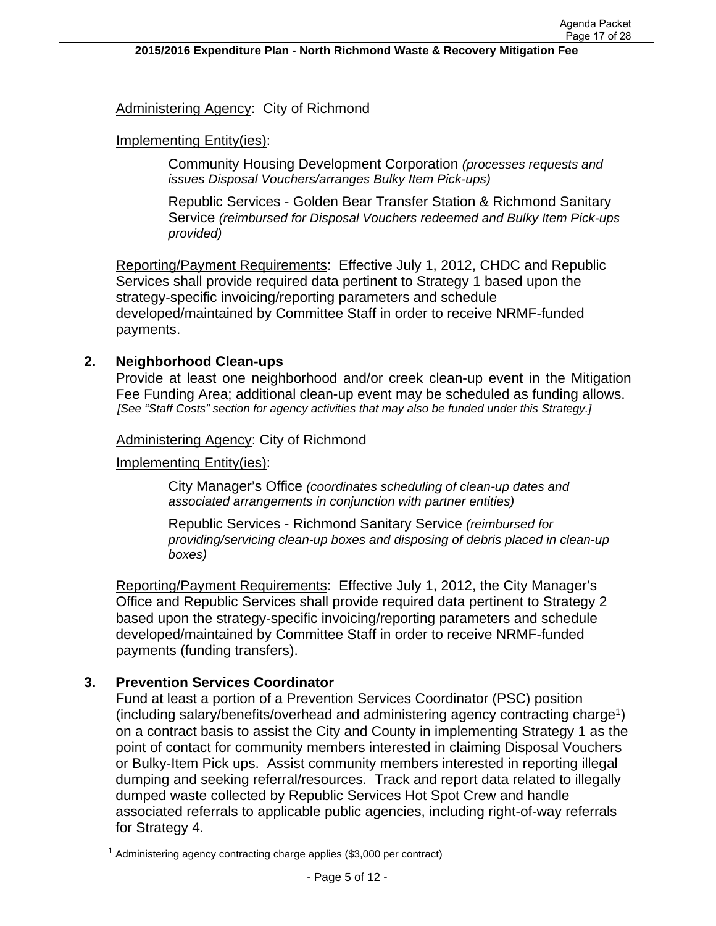Administering Agency: City of Richmond

#### Implementing Entity(ies):

Community Housing Development Corporation *(processes requests and issues Disposal Vouchers/arranges Bulky Item Pick-ups)* 

Republic Services - Golden Bear Transfer Station & Richmond Sanitary Service *(reimbursed for Disposal Vouchers redeemed and Bulky Item Pick-ups provided)*

Reporting/Payment Requirements: Effective July 1, 2012, CHDC and Republic Services shall provide required data pertinent to Strategy 1 based upon the strategy-specific invoicing/reporting parameters and schedule developed/maintained by Committee Staff in order to receive NRMF-funded payments.

#### **2. Neighborhood Clean-ups**

Provide at least one neighborhood and/or creek clean-up event in the Mitigation Fee Funding Area; additional clean-up event may be scheduled as funding allows. *[See "Staff Costs" section for agency activities that may also be funded under this Strategy.]* 

#### Administering Agency: City of Richmond

#### Implementing Entity(ies):

City Manager's Office *(coordinates scheduling of clean-up dates and associated arrangements in conjunction with partner entities)* 

Republic Services - Richmond Sanitary Service *(reimbursed for providing/servicing clean-up boxes and disposing of debris placed in clean-up boxes)*

Reporting/Payment Requirements: Effective July 1, 2012, the City Manager's Office and Republic Services shall provide required data pertinent to Strategy 2 based upon the strategy-specific invoicing/reporting parameters and schedule developed/maintained by Committee Staff in order to receive NRMF-funded payments (funding transfers).

#### **3. Prevention Services Coordinator**

Fund at least a portion of a Prevention Services Coordinator (PSC) position  $($ including salary/benefits/overhead and administering agency contracting charge<sup>1</sup> $)$ on a contract basis to assist the City and County in implementing Strategy 1 as the point of contact for community members interested in claiming Disposal Vouchers or Bulky-Item Pick ups. Assist community members interested in reporting illegal dumping and seeking referral/resources. Track and report data related to illegally dumped waste collected by Republic Services Hot Spot Crew and handle associated referrals to applicable public agencies, including right-of-way referrals for Strategy 4.

<sup>1</sup> Administering agency contracting charge applies (\$3,000 per contract)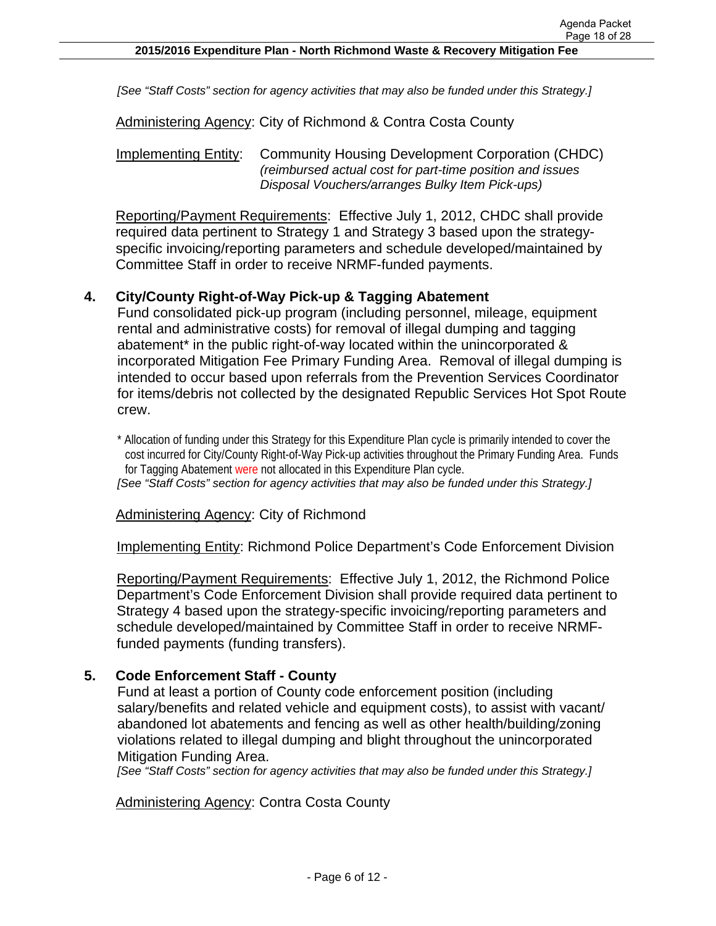*[See "Staff Costs" section for agency activities that may also be funded under this Strategy.]* 

Administering Agency: City of Richmond & Contra Costa County

Implementing Entity: Community Housing Development Corporation (CHDC) *(reimbursed actual cost for part-time position and issues Disposal Vouchers/arranges Bulky Item Pick-ups)*

Reporting/Payment Requirements: Effective July 1, 2012, CHDC shall provide required data pertinent to Strategy 1 and Strategy 3 based upon the strategyspecific invoicing/reporting parameters and schedule developed/maintained by Committee Staff in order to receive NRMF-funded payments.

#### **4. City/County Right-of-Way Pick-up & Tagging Abatement**

Fund consolidated pick-up program (including personnel, mileage, equipment rental and administrative costs) for removal of illegal dumping and tagging abatement<sup>\*</sup> in the public right-of-way located within the unincorporated & incorporated Mitigation Fee Primary Funding Area. Removal of illegal dumping is intended to occur based upon referrals from the Prevention Services Coordinator for items/debris not collected by the designated Republic Services Hot Spot Route crew.

\* Allocation of funding under this Strategy for this Expenditure Plan cycle is primarily intended to cover the cost incurred for City/County Right-of-Way Pick-up activities throughout the Primary Funding Area. Funds for Tagging Abatement were not allocated in this Expenditure Plan cycle.

*[See "Staff Costs" section for agency activities that may also be funded under this Strategy.]* 

Administering Agency: City of Richmond

Implementing Entity: Richmond Police Department's Code Enforcement Division

Reporting/Payment Requirements: Effective July 1, 2012, the Richmond Police Department's Code Enforcement Division shall provide required data pertinent to Strategy 4 based upon the strategy-specific invoicing/reporting parameters and schedule developed/maintained by Committee Staff in order to receive NRMFfunded payments (funding transfers).

#### **5. Code Enforcement Staff - County**

Fund at least a portion of County code enforcement position (including salary/benefits and related vehicle and equipment costs), to assist with vacant/ abandoned lot abatements and fencing as well as other health/building/zoning violations related to illegal dumping and blight throughout the unincorporated Mitigation Funding Area.

*[See "Staff Costs" section for agency activities that may also be funded under this Strategy.]* 

Administering Agency: Contra Costa County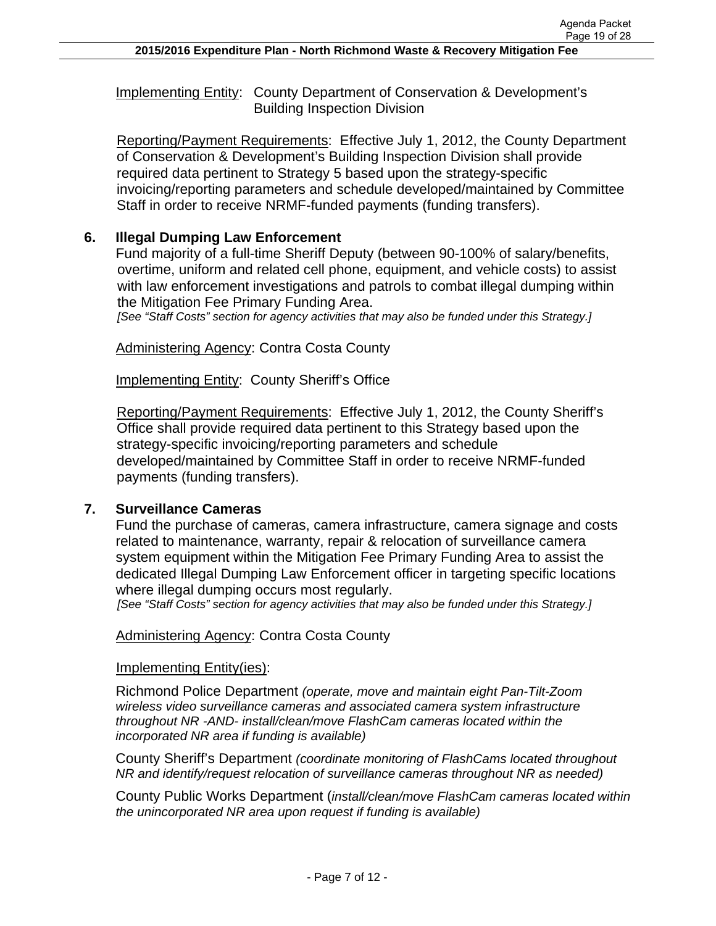Implementing Entity: County Department of Conservation & Development's Building Inspection Division

Reporting/Payment Requirements: Effective July 1, 2012, the County Department of Conservation & Development's Building Inspection Division shall provide required data pertinent to Strategy 5 based upon the strategy-specific invoicing/reporting parameters and schedule developed/maintained by Committee Staff in order to receive NRMF-funded payments (funding transfers).

## **6. Illegal Dumping Law Enforcement**

Fund majority of a full-time Sheriff Deputy (between 90-100% of salary/benefits, overtime, uniform and related cell phone, equipment, and vehicle costs) to assist with law enforcement investigations and patrols to combat illegal dumping within the Mitigation Fee Primary Funding Area.

*[See "Staff Costs" section for agency activities that may also be funded under this Strategy.]* 

**Administering Agency: Contra Costa County** 

Implementing Entity: County Sheriff's Office

Reporting/Payment Requirements: Effective July 1, 2012, the County Sheriff's Office shall provide required data pertinent to this Strategy based upon the strategy-specific invoicing/reporting parameters and schedule developed/maintained by Committee Staff in order to receive NRMF-funded payments (funding transfers).

### **7. Surveillance Cameras**

Fund the purchase of cameras, camera infrastructure, camera signage and costs related to maintenance, warranty, repair & relocation of surveillance camera system equipment within the Mitigation Fee Primary Funding Area to assist the dedicated Illegal Dumping Law Enforcement officer in targeting specific locations where illegal dumping occurs most regularly.

*[See "Staff Costs" section for agency activities that may also be funded under this Strategy.]* 

#### Administering Agency: Contra Costa County

#### Implementing Entity(ies):

Richmond Police Department *(operate, move and maintain eight Pan-Tilt-Zoom wireless video surveillance cameras and associated camera system infrastructure throughout NR -AND- install/clean/move FlashCam cameras located within the incorporated NR area if funding is available)*

County Sheriff's Department *(coordinate monitoring of FlashCams located throughout NR and identify/request relocation of surveillance cameras throughout NR as needed)* 

County Public Works Department (*install/clean/move FlashCam cameras located within the unincorporated NR area upon request if funding is available)*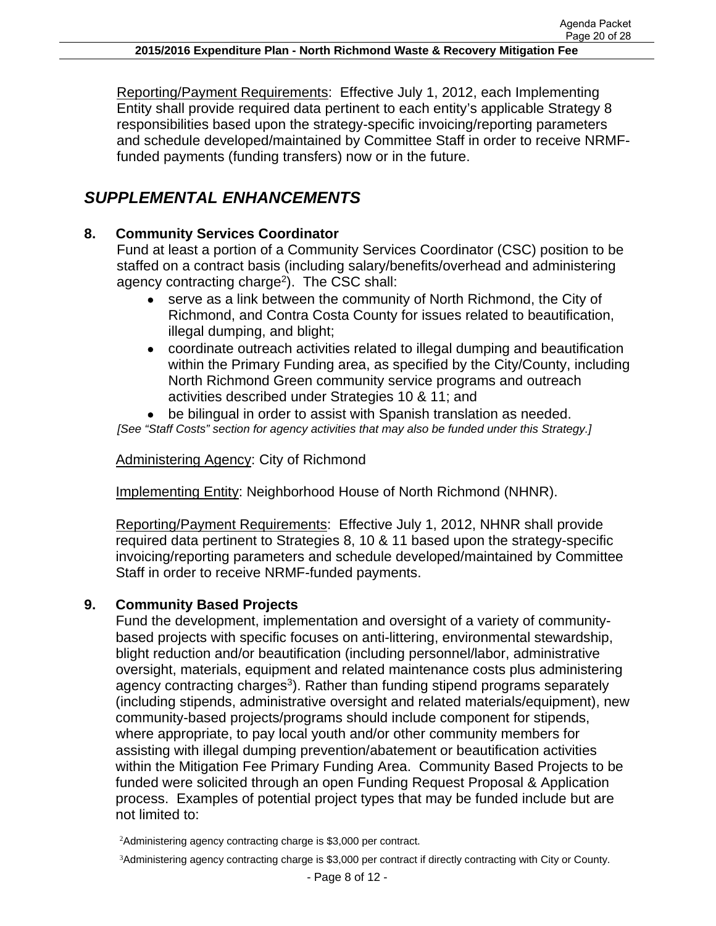Reporting/Payment Requirements: Effective July 1, 2012, each Implementing Entity shall provide required data pertinent to each entity's applicable Strategy 8 responsibilities based upon the strategy-specific invoicing/reporting parameters and schedule developed/maintained by Committee Staff in order to receive NRMFfunded payments (funding transfers) now or in the future.

# *SUPPLEMENTAL ENHANCEMENTS*

## **8. Community Services Coordinator**

Fund at least a portion of a Community Services Coordinator (CSC) position to be staffed on a contract basis (including salary/benefits/overhead and administering agency contracting charge<sup>2</sup>). The CSC shall:

- serve as a link between the community of North Richmond, the City of Richmond, and Contra Costa County for issues related to beautification, illegal dumping, and blight;
- coordinate outreach activities related to illegal dumping and beautification within the Primary Funding area, as specified by the City/County, including North Richmond Green community service programs and outreach activities described under Strategies 10 & 11; and

 be bilingual in order to assist with Spanish translation as needed. *[See "Staff Costs" section for agency activities that may also be funded under this Strategy.]* 

Administering Agency: City of Richmond

Implementing Entity: Neighborhood House of North Richmond (NHNR).

Reporting/Payment Requirements: Effective July 1, 2012, NHNR shall provide required data pertinent to Strategies 8, 10 & 11 based upon the strategy-specific invoicing/reporting parameters and schedule developed/maintained by Committee Staff in order to receive NRMF-funded payments.

### **9. Community Based Projects**

Fund the development, implementation and oversight of a variety of communitybased projects with specific focuses on anti-littering, environmental stewardship, blight reduction and/or beautification (including personnel/labor, administrative oversight, materials, equipment and related maintenance costs plus administering agency contracting charges<sup>3</sup>). Rather than funding stipend programs separately (including stipends, administrative oversight and related materials/equipment), new community-based projects/programs should include component for stipends, where appropriate, to pay local youth and/or other community members for assisting with illegal dumping prevention/abatement or beautification activities within the Mitigation Fee Primary Funding Area. Community Based Projects to be funded were solicited through an open Funding Request Proposal & Application process. Examples of potential project types that may be funded include but are not limited to:

<sup>2</sup>Administering agency contracting charge is \$3,000 per contract.

<sup>3</sup>Administering agency contracting charge is \$3,000 per contract if directly contracting with City or County.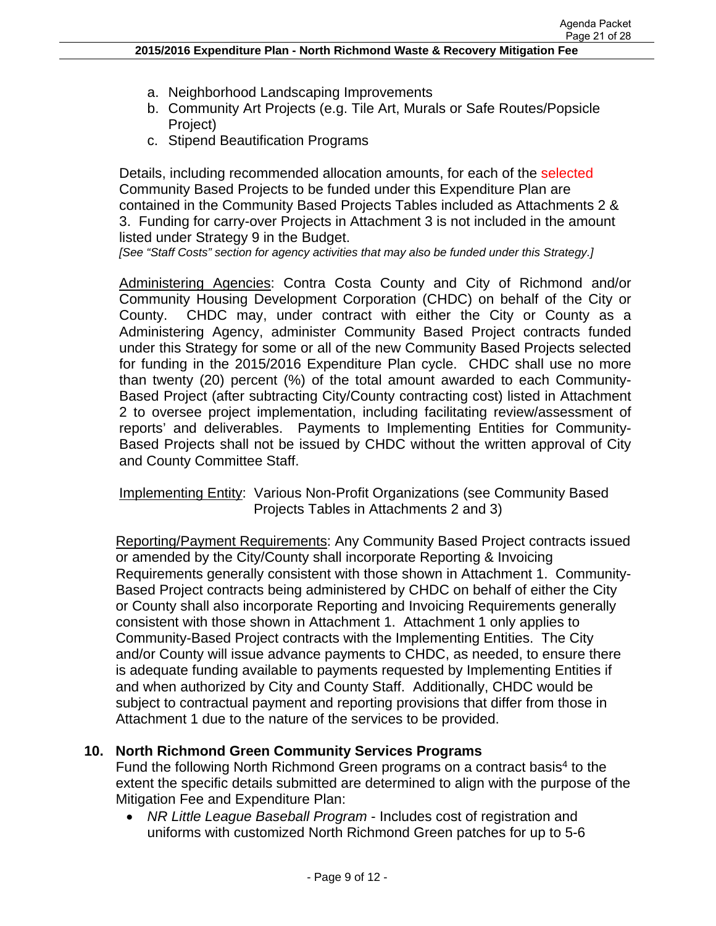- a. Neighborhood Landscaping Improvements
- b. Community Art Projects (e.g. Tile Art, Murals or Safe Routes/Popsicle Project)
- c. Stipend Beautification Programs

Details, including recommended allocation amounts, for each of the selected Community Based Projects to be funded under this Expenditure Plan are contained in the Community Based Projects Tables included as Attachments 2 & 3. Funding for carry-over Projects in Attachment 3 is not included in the amount listed under Strategy 9 in the Budget.

*[See "Staff Costs" section for agency activities that may also be funded under this Strategy.]* 

Administering Agencies: Contra Costa County and City of Richmond and/or Community Housing Development Corporation (CHDC) on behalf of the City or County. CHDC may, under contract with either the City or County as a Administering Agency, administer Community Based Project contracts funded under this Strategy for some or all of the new Community Based Projects selected for funding in the 2015/2016 Expenditure Plan cycle. CHDC shall use no more than twenty (20) percent (%) of the total amount awarded to each Community-Based Project (after subtracting City/County contracting cost) listed in Attachment 2 to oversee project implementation, including facilitating review/assessment of reports' and deliverables. Payments to Implementing Entities for Community-Based Projects shall not be issued by CHDC without the written approval of City and County Committee Staff.

Implementing Entity: Various Non-Profit Organizations (see Community Based Projects Tables in Attachments 2 and 3)

Reporting/Payment Requirements: Any Community Based Project contracts issued or amended by the City/County shall incorporate Reporting & Invoicing Requirements generally consistent with those shown in Attachment 1. Community-Based Project contracts being administered by CHDC on behalf of either the City or County shall also incorporate Reporting and Invoicing Requirements generally consistent with those shown in Attachment 1. Attachment 1 only applies to Community-Based Project contracts with the Implementing Entities. The City and/or County will issue advance payments to CHDC, as needed, to ensure there is adequate funding available to payments requested by Implementing Entities if and when authorized by City and County Staff. Additionally, CHDC would be subject to contractual payment and reporting provisions that differ from those in Attachment 1 due to the nature of the services to be provided.

#### **10. North Richmond Green Community Services Programs**

Fund the following North Richmond Green programs on a contract basis<sup>4</sup> to the extent the specific details submitted are determined to align with the purpose of the Mitigation Fee and Expenditure Plan:

 *NR Little League Baseball Program* - Includes cost of registration and uniforms with customized North Richmond Green patches for up to 5-6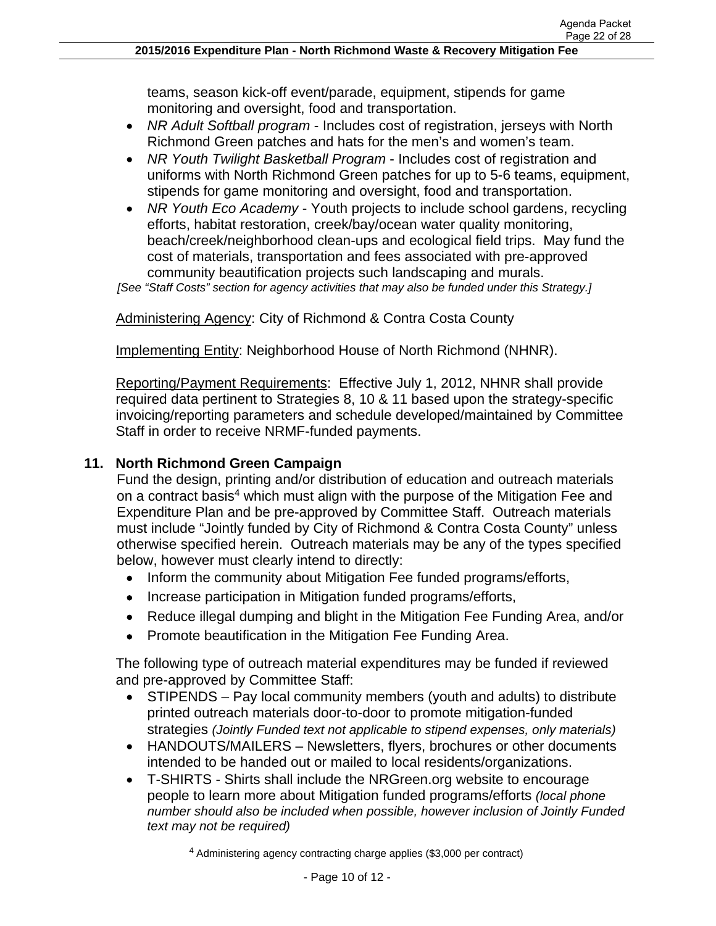teams, season kick-off event/parade, equipment, stipends for game monitoring and oversight, food and transportation.

- *NR Adult Softball program* Includes cost of registration, jerseys with North Richmond Green patches and hats for the men's and women's team.
- *NR Youth Twilight Basketball Program* Includes cost of registration and uniforms with North Richmond Green patches for up to 5-6 teams, equipment, stipends for game monitoring and oversight, food and transportation.
- *NR Youth Eco Academy* Youth projects to include school gardens, recycling efforts, habitat restoration, creek/bay/ocean water quality monitoring, beach/creek/neighborhood clean-ups and ecological field trips. May fund the cost of materials, transportation and fees associated with pre-approved community beautification projects such landscaping and murals.

*[See "Staff Costs" section for agency activities that may also be funded under this Strategy.]* 

Administering Agency: City of Richmond & Contra Costa County

Implementing Entity: Neighborhood House of North Richmond (NHNR).

Reporting/Payment Requirements: Effective July 1, 2012, NHNR shall provide required data pertinent to Strategies 8, 10 & 11 based upon the strategy-specific invoicing/reporting parameters and schedule developed/maintained by Committee Staff in order to receive NRMF-funded payments.

## **11. North Richmond Green Campaign**

Fund the design, printing and/or distribution of education and outreach materials on a contract basis<sup>4</sup> which must align with the purpose of the Mitigation Fee and Expenditure Plan and be pre-approved by Committee Staff. Outreach materials must include "Jointly funded by City of Richmond & Contra Costa County" unless otherwise specified herein. Outreach materials may be any of the types specified below, however must clearly intend to directly:

- Inform the community about Mitigation Fee funded programs/efforts,
- Increase participation in Mitigation funded programs/efforts,
- Reduce illegal dumping and blight in the Mitigation Fee Funding Area, and/or
- Promote beautification in the Mitigation Fee Funding Area.

The following type of outreach material expenditures may be funded if reviewed and pre-approved by Committee Staff:

- STIPENDS Pay local community members (youth and adults) to distribute printed outreach materials door-to-door to promote mitigation-funded strategies *(Jointly Funded text not applicable to stipend expenses, only materials)*
- HANDOUTS/MAILERS Newsletters, flyers, brochures or other documents intended to be handed out or mailed to local residents/organizations.
- T-SHIRTS Shirts shall include the NRGreen.org website to encourage people to learn more about Mitigation funded programs/efforts *(local phone number should also be included when possible, however inclusion of Jointly Funded text may not be required)*

<sup>4</sup> Administering agency contracting charge applies (\$3,000 per contract)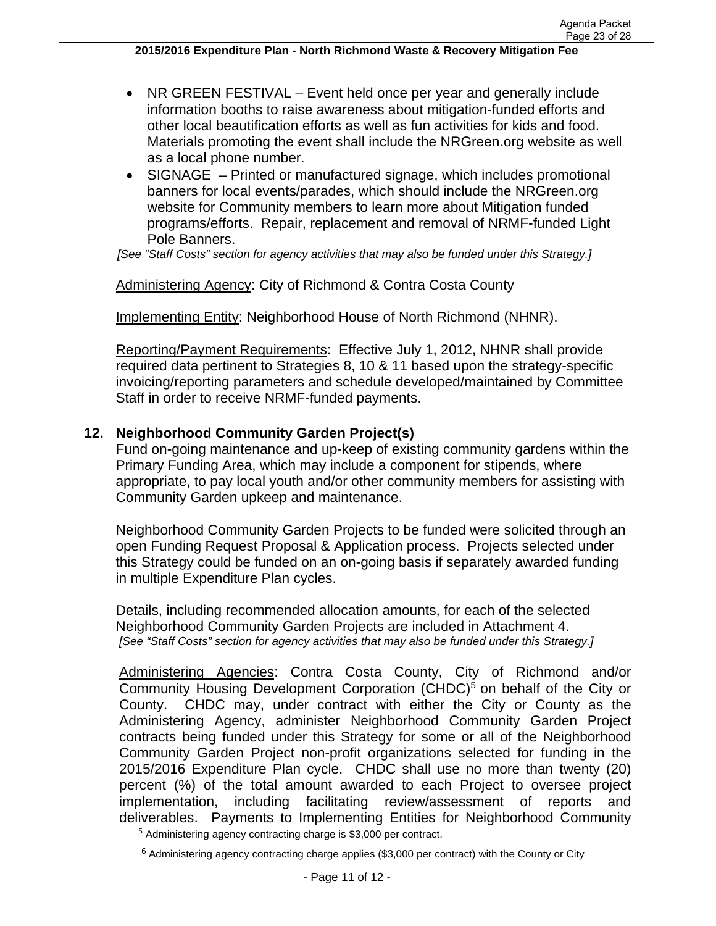- NR GREEN FESTIVAL Event held once per year and generally include information booths to raise awareness about mitigation-funded efforts and other local beautification efforts as well as fun activities for kids and food. Materials promoting the event shall include the NRGreen.org website as well as a local phone number.
- SIGNAGE Printed or manufactured signage, which includes promotional banners for local events/parades, which should include the NRGreen.org website for Community members to learn more about Mitigation funded programs/efforts. Repair, replacement and removal of NRMF-funded Light Pole Banners.

*[See "Staff Costs" section for agency activities that may also be funded under this Strategy.]* 

## Administering Agency: City of Richmond & Contra Costa County

Implementing Entity: Neighborhood House of North Richmond (NHNR).

Reporting/Payment Requirements: Effective July 1, 2012, NHNR shall provide required data pertinent to Strategies 8, 10 & 11 based upon the strategy-specific invoicing/reporting parameters and schedule developed/maintained by Committee Staff in order to receive NRMF-funded payments.

## **12. Neighborhood Community Garden Project(s)**

Fund on-going maintenance and up-keep of existing community gardens within the Primary Funding Area, which may include a component for stipends, where appropriate, to pay local youth and/or other community members for assisting with Community Garden upkeep and maintenance.

Neighborhood Community Garden Projects to be funded were solicited through an open Funding Request Proposal & Application process. Projects selected under this Strategy could be funded on an on-going basis if separately awarded funding in multiple Expenditure Plan cycles.

Details, including recommended allocation amounts, for each of the selected Neighborhood Community Garden Projects are included in Attachment 4. *[See "Staff Costs" section for agency activities that may also be funded under this Strategy.]* 

Administering Agencies: Contra Costa County, City of Richmond and/or Community Housing Development Corporation (CHDC)<sup>5</sup> on behalf of the City or County. CHDC may, under contract with either the City or County as the Administering Agency, administer Neighborhood Community Garden Project contracts being funded under this Strategy for some or all of the Neighborhood Community Garden Project non-profit organizations selected for funding in the 2015/2016 Expenditure Plan cycle. CHDC shall use no more than twenty (20) percent (%) of the total amount awarded to each Project to oversee project implementation, including facilitating review/assessment of reports and deliverables. Payments to Implementing Entities for Neighborhood Community

<sup>5</sup> Administering agency contracting charge is \$3,000 per contract.

 $6$  Administering agency contracting charge applies (\$3,000 per contract) with the County or City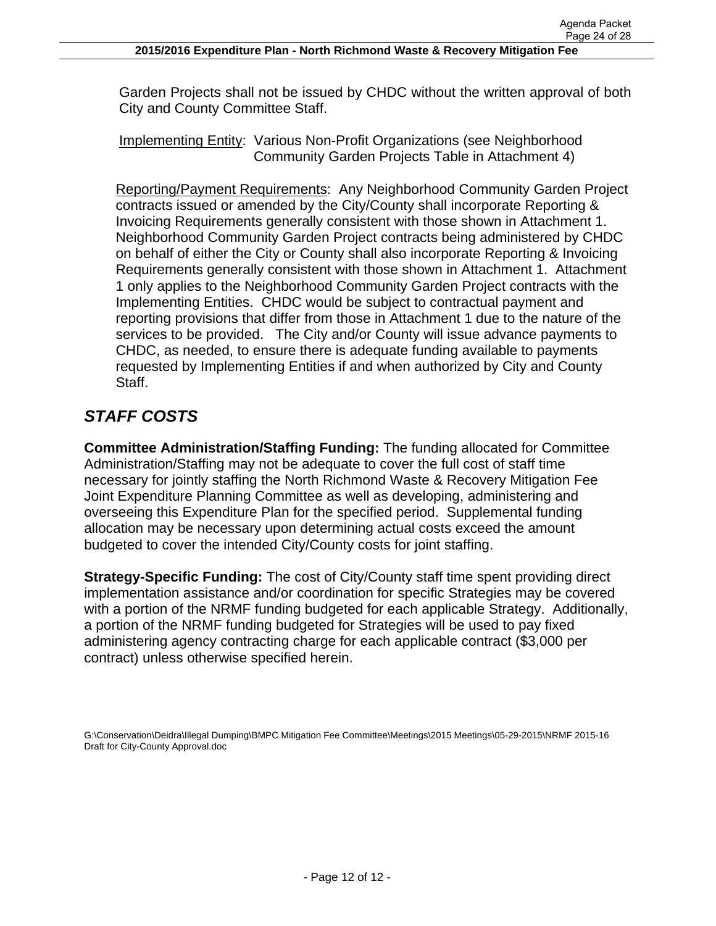Garden Projects shall not be issued by CHDC without the written approval of both City and County Committee Staff.

Implementing Entity: Various Non-Profit Organizations (see Neighborhood Community Garden Projects Table in Attachment 4)

Reporting/Payment Requirements: Any Neighborhood Community Garden Project contracts issued or amended by the City/County shall incorporate Reporting & Invoicing Requirements generally consistent with those shown in Attachment 1. Neighborhood Community Garden Project contracts being administered by CHDC on behalf of either the City or County shall also incorporate Reporting & Invoicing Requirements generally consistent with those shown in Attachment 1. Attachment 1 only applies to the Neighborhood Community Garden Project contracts with the Implementing Entities. CHDC would be subject to contractual payment and reporting provisions that differ from those in Attachment 1 due to the nature of the services to be provided. The City and/or County will issue advance payments to CHDC, as needed, to ensure there is adequate funding available to payments requested by Implementing Entities if and when authorized by City and County Staff.

# *STAFF COSTS*

**Committee Administration/Staffing Funding:** The funding allocated for Committee Administration/Staffing may not be adequate to cover the full cost of staff time necessary for jointly staffing the North Richmond Waste & Recovery Mitigation Fee Joint Expenditure Planning Committee as well as developing, administering and overseeing this Expenditure Plan for the specified period. Supplemental funding allocation may be necessary upon determining actual costs exceed the amount budgeted to cover the intended City/County costs for joint staffing.

**Strategy-Specific Funding:** The cost of City/County staff time spent providing direct implementation assistance and/or coordination for specific Strategies may be covered with a portion of the NRMF funding budgeted for each applicable Strategy. Additionally, a portion of the NRMF funding budgeted for Strategies will be used to pay fixed administering agency contracting charge for each applicable contract (\$3,000 per contract) unless otherwise specified herein.

G:\Conservation\Deidra\Illegal Dumping\BMPC Mitigation Fee Committee\Meetings\2015 Meetings\05-29-2015\NRMF 2015-16 Draft for City-County Approval.doc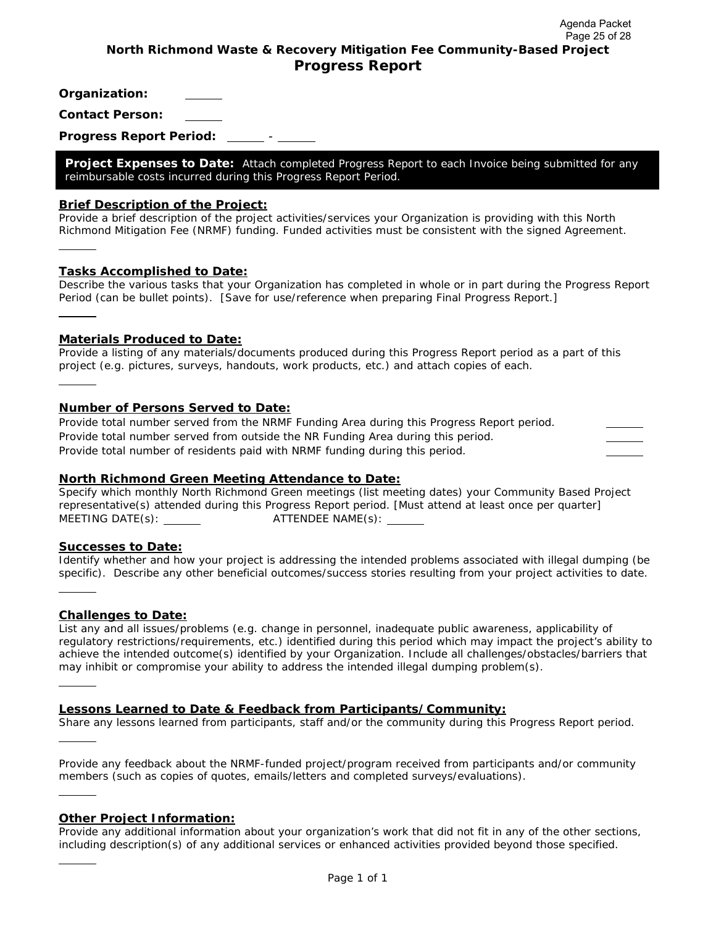**Organization:** 

**Contact Person:** 

**Progress Report Period:** -

**Project Expenses to Date:** *Attach completed Progress Report to each Invoice being submitted for any reimbursable costs incurred during this Progress Report Period.* 

#### **Brief Description of the Project:**

*Provide a brief description of the project activities/services your Organization is providing with this North Richmond Mitigation Fee (NRMF) funding. Funded activities must be consistent with the signed Agreement.* 

#### **Tasks Accomplished to Date:**

l

l

l

l

*Describe the various tasks that your Organization has completed in whole or in part during the Progress Report Period (can be bullet points). [Save for use/reference when preparing Final Progress Report.]*  l

#### **Materials Produced to Date:**

*Provide a listing of any materials/documents produced during this Progress Report period as a part of this project (e.g. pictures, surveys, handouts, work products, etc.) and attach copies of each.* 

#### **Number of Persons Served to Date:**

*Provide total number served from the NRMF Funding Area during this Progress Report period. Provide total number served from outside the NR Funding Area during this period. Provide total number of residents paid with NRMF funding during this period.* 

#### **North Richmond Green Meeting Attendance to Date:**

*Specify which monthly North Richmond Green meetings (list meeting dates) your Community Based Project representative(s) attended during this Progress Report period. [Must attend at least once per quarter] MEETING DATE(s): ATTENDEE NAME(s):* 

#### **Successes to Date:**

*Identify whether and how your project is addressing the intended problems associated with illegal dumping (be specific). Describe any other beneficial outcomes/success stories resulting from your project activities to date.*  l

#### **Challenges to Date:**

*List any and all issues/problems (e.g. change in personnel, inadequate public awareness, applicability of regulatory restrictions/requirements, etc.) identified during this period which may impact the project's ability to*  achieve the intended outcome(s) identified by your Organization. Include all challenges/obstacles/barriers that *may inhibit or compromise your ability to address the intended illegal dumping problem(s).* 

#### **Lessons Learned to Date & Feedback from Participants/Community:**

*Share any lessons learned from participants, staff and/or the community during this Progress Report period.* 

*Provide any feedback about the NRMF-funded project/program received from participants and/or community members (such as copies of quotes, emails/letters and completed surveys/evaluations).* 

#### **Other Project Information:**

*Provide any additional information about your organization's work that did not fit in any of the other sections, including description(s) of any additional services or enhanced activities provided beyond those specified.*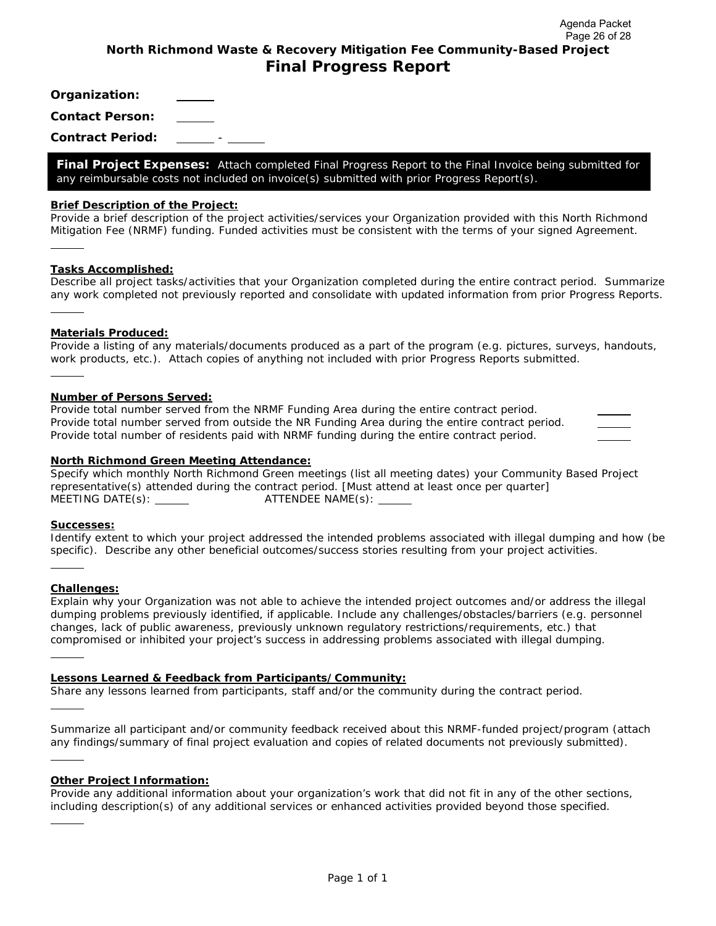**Organization:** 

**Contact Person:** 

**Contract Period:** -

**Final Project Expenses:** *Attach completed Final Progress Report to the Final Invoice being submitted for any reimbursable costs not included on invoice(s) submitted with prior Progress Report(s).* 

#### **Brief Description of the Project:**

*Provide a brief description of the project activities/services your Organization provided with this North Richmond Mitigation Fee (NRMF) funding. Funded activities must be consistent with the terms of your signed Agreement.* 

#### **Tasks Accomplished:**

l,

l,

*Describe all project tasks/activities that your Organization completed during the entire contract period. Summarize any work completed not previously reported and consolidate with updated information from prior Progress Reports.*  l,

#### **Materials Produced:**

*Provide a listing of any materials/documents produced as a part of the program (e.g. pictures, surveys, handouts, work products, etc.). Attach copies of anything not included with prior Progress Reports submitted.* 

#### **Number of Persons Served:**

*Provide total number served from the NRMF Funding Area during the entire contract period. Provide total number served from outside the NR Funding Area during the entire contract period. Provide total number of residents paid with NRMF funding during the entire contract period.* 

#### **North Richmond Green Meeting Attendance:**

*Specify which monthly North Richmond Green meetings (list all meeting dates) your Community Based Project representative(s) attended during the contract period. [Must attend at least once per quarter] MEETING DATE(s): ATTENDEE NAME(s):* 

#### **Successes:**

*Identify extent to which your project addressed the intended problems associated with illegal dumping and how (be specific). Describe any other beneficial outcomes/success stories resulting from your project activities.* 

#### **Challenges:**

l,

l,

l,

l,

l,

*Explain why your Organization was not able to achieve the intended project outcomes and/or address the illegal dumping problems previously identified, if applicable. Include any challenges/obstacles/barriers (e.g. personnel changes, lack of public awareness, previously unknown regulatory restrictions/requirements, etc.) that compromised or inhibited your project's success in addressing problems associated with illegal dumping.* 

#### **Lessons Learned & Feedback from Participants/Community:**

*Share any lessons learned from participants, staff and/or the community during the contract period.* 

*Summarize all participant and/or community feedback received about this NRMF-funded project/program (attach any findings/summary of final project evaluation and copies of related documents not previously submitted).* 

#### **Other Project Information:**

*Provide any additional information about your organization's work that did not fit in any of the other sections, including description(s) of any additional services or enhanced activities provided beyond those specified.*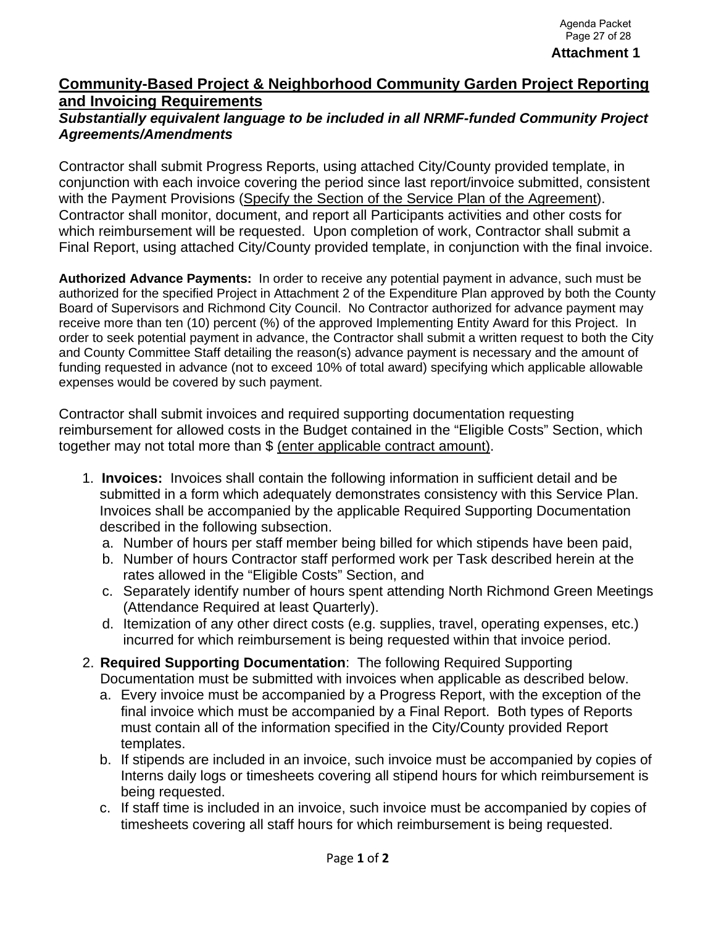## **Community-Based Project & Neighborhood Community Garden Project Reporting and Invoicing Requirements**

## *Substantially equivalent language to be included in all NRMF-funded Community Project Agreements/Amendments*

Contractor shall submit Progress Reports, using attached City/County provided template, in conjunction with each invoice covering the period since last report/invoice submitted, consistent with the Payment Provisions (Specify the Section of the Service Plan of the Agreement). Contractor shall monitor, document, and report all Participants activities and other costs for which reimbursement will be requested. Upon completion of work, Contractor shall submit a Final Report, using attached City/County provided template, in conjunction with the final invoice.

**Authorized Advance Payments:** In order to receive any potential payment in advance, such must be authorized for the specified Project in Attachment 2 of the Expenditure Plan approved by both the County Board of Supervisors and Richmond City Council. No Contractor authorized for advance payment may receive more than ten (10) percent (%) of the approved Implementing Entity Award for this Project. In order to seek potential payment in advance, the Contractor shall submit a written request to both the City and County Committee Staff detailing the reason(s) advance payment is necessary and the amount of funding requested in advance (not to exceed 10% of total award) specifying which applicable allowable expenses would be covered by such payment.

Contractor shall submit invoices and required supporting documentation requesting reimbursement for allowed costs in the Budget contained in the "Eligible Costs" Section, which together may not total more than \$ (enter applicable contract amount).

- 1. **Invoices:** Invoices shall contain the following information in sufficient detail and be submitted in a form which adequately demonstrates consistency with this Service Plan. Invoices shall be accompanied by the applicable Required Supporting Documentation described in the following subsection.
	- a. Number of hours per staff member being billed for which stipends have been paid,
	- b. Number of hours Contractor staff performed work per Task described herein at the rates allowed in the "Eligible Costs" Section, and
	- c. Separately identify number of hours spent attending North Richmond Green Meetings (Attendance Required at least Quarterly).
	- d. Itemization of any other direct costs (e.g. supplies, travel, operating expenses, etc.) incurred for which reimbursement is being requested within that invoice period.
- 2. **Required Supporting Documentation**: The following Required Supporting Documentation must be submitted with invoices when applicable as described below.
	- a. Every invoice must be accompanied by a Progress Report, with the exception of the final invoice which must be accompanied by a Final Report. Both types of Reports must contain all of the information specified in the City/County provided Report templates.
	- b. If stipends are included in an invoice, such invoice must be accompanied by copies of Interns daily logs or timesheets covering all stipend hours for which reimbursement is being requested.
	- c. If staff time is included in an invoice, such invoice must be accompanied by copies of timesheets covering all staff hours for which reimbursement is being requested.